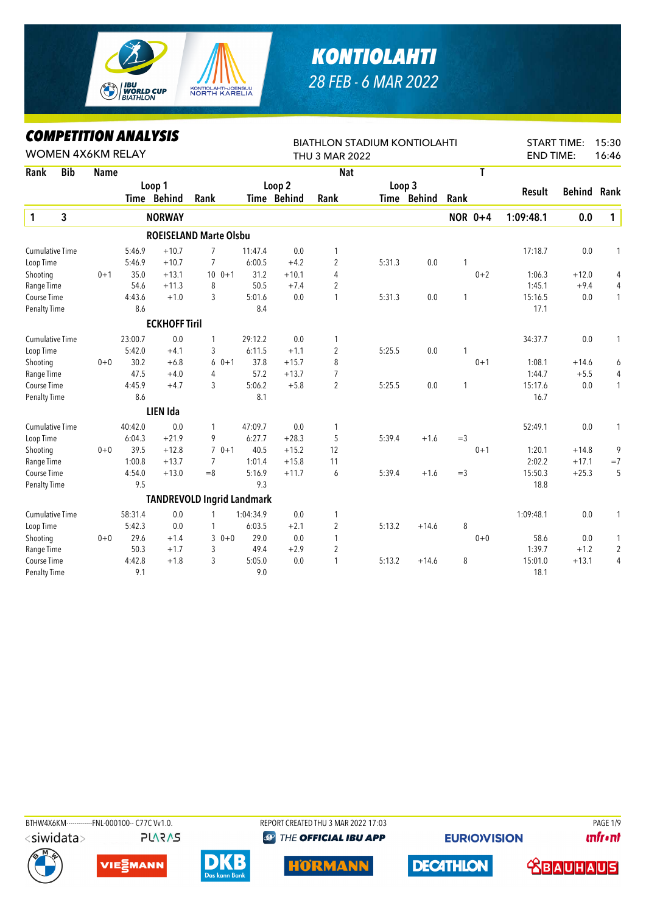

## *KONTIOLAHTI 28 FEB - 6 MAR 2022*

## *COMPETITION ANALYSIS*

|                        | <i><b>COMPEILION ANALYSIS</b></i><br><b>WOMEN 4X6KM RELAY</b> |             |         |                      |                                   |           |             | <b>BIATHLON STADIUM KONTIOLAHTI</b> |        | 15:30<br><b>START TIME:</b> |       |                |                  |               |                |
|------------------------|---------------------------------------------------------------|-------------|---------|----------------------|-----------------------------------|-----------|-------------|-------------------------------------|--------|-----------------------------|-------|----------------|------------------|---------------|----------------|
|                        |                                                               |             |         |                      |                                   |           |             | <b>THU 3 MAR 2022</b>               |        |                             |       |                | <b>END TIME:</b> |               | 16:46          |
| Rank                   | <b>Bib</b>                                                    | <b>Name</b> |         |                      |                                   |           |             | <b>Nat</b>                          |        |                             |       | T              |                  |               |                |
|                        |                                                               |             |         | Loop 1               |                                   |           | Loop 2      |                                     | Loop 3 |                             |       |                |                  |               |                |
|                        |                                                               |             |         | Time Behind          | Rank                              |           | Time Behind | Rank                                |        | Time Behind                 | Rank  |                | Result           | <b>Behind</b> | Rank           |
| $\mathbf{1}$           | 3                                                             |             |         | <b>NORWAY</b>        |                                   |           |             |                                     |        |                             |       | <b>NOR 0+4</b> | 1:09:48.1        | 0.0           | $\mathbf{1}$   |
|                        |                                                               |             |         |                      | <b>ROEISELAND Marte Olsbu</b>     |           |             |                                     |        |                             |       |                |                  |               |                |
| <b>Cumulative Time</b> |                                                               |             | 5:46.9  | $+10.7$              | 7                                 | 11:47.4   | 0.0         | 1                                   |        |                             |       |                | 17:18.7          | 0.0           | 1              |
| Loop Time              |                                                               |             | 5:46.9  | $+10.7$              | $\overline{7}$                    | 6:00.5    | $+4.2$      | $\overline{2}$                      | 5:31.3 | 0.0                         | 1     |                |                  |               |                |
| Shooting               |                                                               | $0 + 1$     | 35.0    | $+13.1$              | $100 + 1$                         | 31.2      | $+10.1$     | 4                                   |        |                             |       | $0 + 2$        | 1:06.3           | $+12.0$       | 4              |
| Range Time             |                                                               |             | 54.6    | $+11.3$              | 8                                 | 50.5      | $+7.4$      | 2                                   |        |                             |       |                | 1:45.1           | $+9.4$        | 4              |
| Course Time            |                                                               |             | 4:43.6  | $+1.0$               | 3                                 | 5:01.6    | 0.0         | 1                                   | 5:31.3 | 0.0                         | 1     |                | 15:16.5          | 0.0           | 1              |
| Penalty Time           |                                                               |             | 8.6     |                      |                                   | 8.4       |             |                                     |        |                             |       |                | 17.1             |               |                |
|                        |                                                               |             |         | <b>ECKHOFF Tiril</b> |                                   |           |             |                                     |        |                             |       |                |                  |               |                |
| <b>Cumulative Time</b> |                                                               |             | 23:00.7 | 0.0                  | 1                                 | 29:12.2   | 0.0         | 1                                   |        |                             |       |                | 34:37.7          | 0.0           | 1              |
| Loop Time              |                                                               |             | 5:42.0  | $+4.1$               | 3                                 | 6:11.5    | $+1.1$      | $\overline{c}$                      | 5:25.5 | 0.0                         | 1     |                |                  |               |                |
| Shooting               |                                                               | $0 + 0$     | 30.2    | $+6.8$               | $0 + 1$<br>6                      | 37.8      | $+15.7$     | 8                                   |        |                             |       | $0 + 1$        | 1:08.1           | $+14.6$       | 6              |
| Range Time             |                                                               |             | 47.5    | $+4.0$               | 4                                 | 57.2      | $+13.7$     | $\overline{7}$                      |        |                             |       |                | 1:44.7           | $+5.5$        | $\overline{4}$ |
| Course Time            |                                                               |             | 4:45.9  | $+4.7$               | 3                                 | 5:06.2    | $+5.8$      | $\overline{2}$                      | 5:25.5 | 0.0                         | 1     |                | 15:17.6          | 0.0           | 1              |
| Penalty Time           |                                                               |             | 8.6     |                      |                                   | 8.1       |             |                                     |        |                             |       |                | 16.7             |               |                |
|                        |                                                               |             |         | <b>LIEN Ida</b>      |                                   |           |             |                                     |        |                             |       |                |                  |               |                |
| <b>Cumulative Time</b> |                                                               |             | 40:42.0 | 0.0                  | 1                                 | 47:09.7   | 0.0         | 1                                   |        |                             |       |                | 52:49.1          | 0.0           | 1              |
| Loop Time              |                                                               |             | 6:04.3  | $+21.9$              | 9                                 | 6:27.7    | $+28.3$     | 5                                   | 5:39.4 | $+1.6$                      | $=$ 3 |                |                  |               |                |
| Shooting               |                                                               | $0 + 0$     | 39.5    | $+12.8$              | $70+1$                            | 40.5      | $+15.2$     | 12                                  |        |                             |       | $0 + 1$        | 1:20.1           | $+14.8$       | 9              |
| Range Time             |                                                               |             | 1:00.8  | $+13.7$              | 7                                 | 1:01.4    | $+15.8$     | 11                                  |        |                             |       |                | 2:02.2           | $+17.1$       | $=7$           |
| Course Time            |                                                               |             | 4:54.0  | $+13.0$              | $=8$                              | 5:16.9    | $+11.7$     | 6                                   | 5:39.4 | $+1.6$                      | $=$ 3 |                | 15:50.3          | $+25.3$       | 5              |
| <b>Penalty Time</b>    |                                                               |             | 9.5     |                      |                                   | 9.3       |             |                                     |        |                             |       |                | 18.8             |               |                |
|                        |                                                               |             |         |                      | <b>TANDREVOLD Ingrid Landmark</b> |           |             |                                     |        |                             |       |                |                  |               |                |
| <b>Cumulative Time</b> |                                                               |             | 58:31.4 | 0.0                  | 1                                 | 1:04:34.9 | 0.0         | 1                                   |        |                             |       |                | 1:09:48.1        | 0.0           | 1              |
| Loop Time              |                                                               |             | 5:42.3  | 0.0                  | 1                                 | 6:03.5    | $+2.1$      | $\overline{2}$                      | 5:13.2 | $+14.6$                     | 8     |                |                  |               |                |
| Shooting               |                                                               | $0 + 0$     | 29.6    | $+1.4$               | 3<br>$0 + 0$                      | 29.0      | 0.0         | 1                                   |        |                             |       | $0 + 0$        | 58.6             | 0.0           | 1              |
| Range Time             |                                                               |             | 50.3    | $+1.7$               | 3                                 | 49.4      | $+2.9$      | $\overline{c}$                      |        |                             |       |                | 1:39.7           | $+1.2$        | $\overline{c}$ |
| Course Time            |                                                               |             | 4:42.8  | $+1.8$               | 3                                 | 5:05.0    | 0.0         | 1                                   | 5:13.2 | $+14.6$                     | 8     |                | 15:01.0          | $+13.1$       | 4              |
| <b>Penalty Time</b>    |                                                               |             | 9.1     |                      |                                   | 9.0       |             |                                     |        |                             |       |                | 18.1             |               |                |

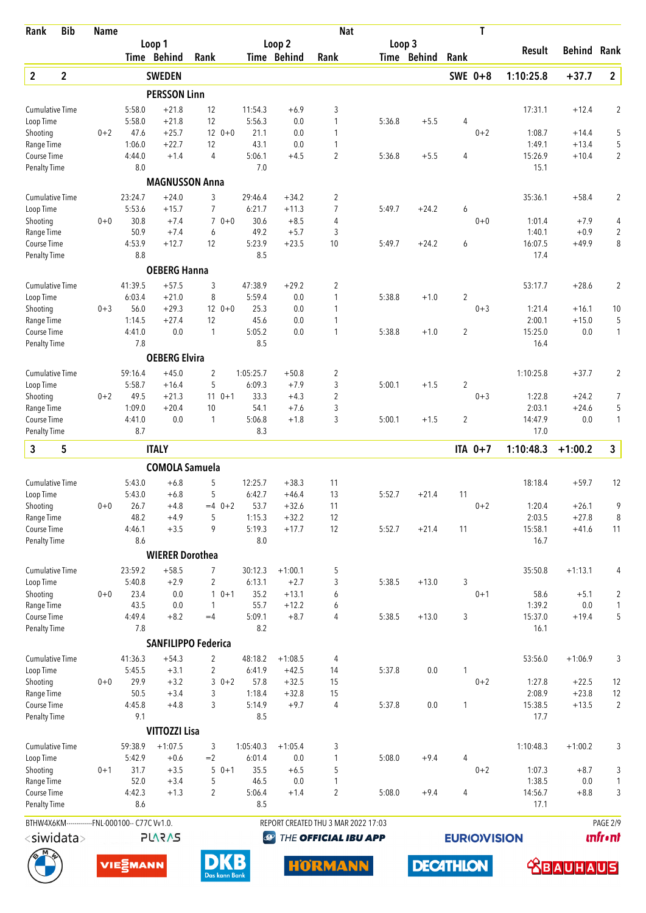| Rank                               | <b>Bib</b>       | <b>Name</b> |                                                |                        |                            |                     |                   | <b>Nat</b>                          |        |             |                     | T       |                   |                    |                   |
|------------------------------------|------------------|-------------|------------------------------------------------|------------------------|----------------------------|---------------------|-------------------|-------------------------------------|--------|-------------|---------------------|---------|-------------------|--------------------|-------------------|
|                                    |                  |             |                                                | Loop 1                 |                            |                     | Loop <sub>2</sub> |                                     | Loop 3 |             |                     |         | Result            | <b>Behind Rank</b> |                   |
|                                    |                  |             |                                                | Time Behind            | Rank                       |                     | Time Behind       | Rank                                |        | Time Behind | Rank                |         |                   |                    |                   |
| $\overline{2}$                     | $\mathbf{2}$     |             |                                                | <b>SWEDEN</b>          |                            |                     |                   |                                     |        |             | SWE 0+8             |         | 1:10:25.8         | $+37.7$            | $\mathbf{2}$      |
|                                    |                  |             |                                                | <b>PERSSON Linn</b>    |                            |                     |                   |                                     |        |             |                     |         |                   |                    |                   |
| <b>Cumulative Time</b>             |                  |             | 5:58.0                                         | $+21.8$                | 12                         | 11:54.3             | $+6.9$            | 3                                   |        |             |                     |         | 17:31.1           | $+12.4$            | $\overline{2}$    |
| Loop Time                          |                  |             | 5:58.0                                         | $+21.8$                | 12                         | 5:56.3              | 0.0               | $\mathbf{1}$                        | 5:36.8 | $+5.5$      | 4                   |         |                   |                    |                   |
| Shooting<br>Range Time             |                  | $0 + 2$     | 47.6<br>1:06.0                                 | $+25.7$<br>$+22.7$     | $120+0$<br>12              | 21.1<br>43.1        | 0.0<br>0.0        | 1<br>$\mathbf{1}$                   |        |             |                     | $0 + 2$ | 1:08.7<br>1:49.1  | $+14.4$<br>$+13.4$ | 5<br>5            |
| Course Time                        |                  |             | 4:44.0                                         | $+1.4$                 | $\overline{4}$             | 5:06.1              | $+4.5$            | 2                                   | 5:36.8 | $+5.5$      | 4                   |         | 15:26.9           | $+10.4$            | $\overline{c}$    |
| <b>Penalty Time</b>                |                  |             | 8.0                                            |                        |                            | 7.0                 |                   |                                     |        |             |                     |         | 15.1              |                    |                   |
|                                    |                  |             |                                                | <b>MAGNUSSON Anna</b>  |                            |                     |                   |                                     |        |             |                     |         |                   |                    |                   |
| <b>Cumulative Time</b>             |                  |             | 23:24.7                                        | $+24.0$                | 3                          | 29:46.4             | $+34.2$           | $\overline{c}$                      |        |             |                     |         | 35:36.1           | $+58.4$            | 2                 |
| Loop Time                          |                  |             | 5:53.6                                         | $+15.7$                | $\overline{7}$             | 6:21.7              | $+11.3$           | 7                                   | 5:49.7 | $+24.2$     | 6                   |         |                   |                    |                   |
| Shooting                           |                  | $0 + 0$     | 30.8                                           | $+7.4$                 | $0 + 0$<br>$\overline{7}$  | 30.6                | $+8.5$            | 4                                   |        |             |                     | $0 + 0$ | 1:01.4            | $+7.9$             | 4                 |
| Range Time                         |                  |             | 50.9                                           | $+7.4$                 | 6                          | 49.2                | $+5.7$            | 3                                   |        |             |                     |         | 1:40.1            | $+0.9$             | $\overline{2}$    |
| Course Time                        |                  |             | 4:53.9                                         | $+12.7$                | 12                         | 5:23.9              | $+23.5$           | 10                                  | 5:49.7 | $+24.2$     | 6                   |         | 16:07.5           | $+49.9$            | 8                 |
| <b>Penalty Time</b>                |                  |             | 8.8                                            |                        |                            | 8.5                 |                   |                                     |        |             |                     |         | 17.4              |                    |                   |
|                                    |                  |             |                                                | <b>OEBERG Hanna</b>    |                            |                     |                   |                                     |        |             |                     |         |                   |                    |                   |
| <b>Cumulative Time</b>             |                  |             | 41:39.5                                        | $+57.5$                | 3                          | 47:38.9             | $+29.2$           | 2                                   |        |             |                     |         | 53:17.7           | $+28.6$            | $\overline{2}$    |
| Loop Time                          |                  |             | 6:03.4                                         | $+21.0$                | 8                          | 5:59.4              | 0.0               | $\mathbf{1}$                        | 5:38.8 | $+1.0$      | 2                   |         |                   |                    |                   |
| Shooting                           |                  | $0 + 3$     | 56.0                                           | $+29.3$                | $12 \t 0+0$                | 25.3                | 0.0               | 1                                   |        |             |                     | $0 + 3$ | 1:21.4            | $+16.1$            | 10                |
| Range Time                         |                  |             | 1:14.5                                         | $+27.4$<br>0.0         | 12                         | 45.6<br>5:05.2      | 0.0               | $\mathbf{1}$                        |        |             |                     |         | 2:00.1            | $+15.0$            | 5                 |
| Course Time<br><b>Penalty Time</b> |                  |             | 4:41.0<br>7.8                                  |                        | 1                          | 8.5                 | 0.0               | 1                                   | 5:38.8 | $+1.0$      | 2                   |         | 15:25.0<br>16.4   | 0.0                | 1                 |
|                                    |                  |             |                                                | <b>OEBERG Elvira</b>   |                            |                     |                   |                                     |        |             |                     |         |                   |                    |                   |
|                                    |                  |             |                                                |                        |                            |                     |                   |                                     |        |             |                     |         |                   |                    |                   |
| <b>Cumulative Time</b>             |                  |             | 59:16.4<br>5:58.7                              | $+45.0$                | $\overline{2}$<br>5        | 1:05:25.7<br>6:09.3 | $+50.8$           | $\overline{c}$                      | 5:00.1 |             |                     |         | 1:10:25.8         | $+37.7$            | 2                 |
| Loop Time<br>Shooting              |                  | $0 + 2$     | 49.5                                           | $+16.4$<br>$+21.3$     | $11 \t 0+1$                | 33.3                | $+7.9$<br>$+4.3$  | 3<br>$\overline{2}$                 |        | $+1.5$      | 2                   | $0 + 3$ | 1:22.8            | $+24.2$            | 7                 |
| Range Time                         |                  |             | 1:09.0                                         | $+20.4$                | 10                         | 54.1                | $+7.6$            | 3                                   |        |             |                     |         | 2:03.1            | $+24.6$            | 5                 |
| Course Time                        |                  |             | 4:41.0                                         | 0.0                    | 1                          | 5:06.8              | $+1.8$            | 3                                   | 5:00.1 | $+1.5$      | $\overline{2}$      |         | 14:47.9           | 0.0                | $\mathbf{1}$      |
| <b>Penalty Time</b>                |                  |             | 8.7                                            |                        |                            | 8.3                 |                   |                                     |        |             |                     |         | 17.0              |                    |                   |
| 3                                  | 5                |             |                                                | <b>ITALY</b>           |                            |                     |                   |                                     |        |             |                     | ITA 0+7 | 1:10:48.3         | $+1:00.2$          | 3                 |
|                                    |                  |             |                                                | <b>COMOLA Samuela</b>  |                            |                     |                   |                                     |        |             |                     |         |                   |                    |                   |
| <b>Cumulative Time</b>             |                  |             | 5:43.0                                         | $+6.8$                 | 5                          | 12:25.7             | $+38.3$           | 11                                  |        |             |                     |         | 18:18.4           | $+59.7$            | 12                |
| Loop Time                          |                  |             | 5:43.0                                         | $+6.8$                 | 5                          | 6:42.7              | $+46.4$           | 13                                  | 5:52.7 | $+21.4$     | 11                  |         |                   |                    |                   |
| Shooting                           |                  | $0+0$       | 26.7                                           | $+4.8$                 | $=4$ 0+2                   | 53.7                | $+32.6$           | 11                                  |        |             |                     | $0 + 2$ | 1:20.4            | $+26.1$            | 9                 |
| Range Time                         |                  |             | 48.2                                           | $+4.9$                 | 5                          | 1:15.3              | $+32.2$           | 12                                  |        |             |                     |         | 2:03.5            | $+27.8$            | 8                 |
| Course Time                        |                  |             | 4:46.1                                         | $+3.5$                 | 9                          | 5:19.3              | $+17.7$           | 12                                  | 5:52.7 | $+21.4$     | 11                  |         | 15:58.1           | $+41.6$            | 11                |
| <b>Penalty Time</b>                |                  |             | 8.6                                            |                        |                            | 8.0                 |                   |                                     |        |             |                     |         | 16.7              |                    |                   |
|                                    |                  |             |                                                | <b>WIERER Dorothea</b> |                            |                     |                   |                                     |        |             |                     |         |                   |                    |                   |
| <b>Cumulative Time</b>             |                  |             | 23:59.2                                        | $+58.5$                | 7                          | 30:12.3             | $+1:00.1$         | 5                                   |        |             |                     |         | 35:50.8           | $+1:13.1$          | 4                 |
| Loop Time                          |                  |             | 5:40.8                                         | $+2.9$                 | $\overline{2}$             | 6:13.1              | $+2.7$            | 3                                   | 5:38.5 | $+13.0$     | 3                   |         |                   |                    |                   |
| Shooting                           |                  | $0 + 0$     | 23.4                                           | 0.0                    | $10+1$                     | 35.2                | $+13.1$           | 6                                   |        |             |                     | $0 + 1$ | 58.6              | $+5.1$             | $\overline{2}$    |
| Range Time<br>Course Time          |                  |             | 43.5<br>4:49.4                                 | 0.0<br>$+8.2$          | $\mathbf{1}$<br>$=4$       | 55.7<br>5:09.1      | $+12.2$<br>$+8.7$ | 6<br>4                              | 5:38.5 | $+13.0$     | 3                   |         | 1:39.2<br>15:37.0 | 0.0<br>$+19.4$     | $\mathbf{1}$<br>5 |
| Penalty Time                       |                  |             | 7.8                                            |                        |                            | 8.2                 |                   |                                     |        |             |                     |         | 16.1              |                    |                   |
|                                    |                  |             |                                                |                        | <b>SANFILIPPO Federica</b> |                     |                   |                                     |        |             |                     |         |                   |                    |                   |
| <b>Cumulative Time</b>             |                  |             | 41:36.3                                        | $+54.3$                | $\overline{2}$             | 48:18.2             | $+1:08.5$         | 4                                   |        |             |                     |         | 53:56.0           | $+1:06.9$          | 3                 |
| Loop Time                          |                  |             | 5:45.5                                         | $+3.1$                 | $\overline{2}$             | 6:41.9              | $+42.5$           | 14                                  | 5:37.8 | 0.0         | 1                   |         |                   |                    |                   |
| Shooting                           |                  | $0 + 0$     | 29.9                                           | $+3.2$                 | 3<br>$0 + 2$               | 57.8                | $+32.5$           | 15                                  |        |             |                     | $0 + 2$ | 1:27.8            | $+22.5$            | 12                |
| Range Time                         |                  |             | 50.5                                           | $+3.4$                 | 3                          | 1:18.4              | $+32.8$           | 15                                  |        |             |                     |         | 2:08.9            | $+23.8$            | 12                |
| Course Time                        |                  |             | 4:45.8                                         | $+4.8$                 | 3                          | 5:14.9              | $+9.7$            | $\overline{4}$                      | 5:37.8 | 0.0         | 1                   |         | 15:38.5           | $+13.5$            | $\overline{2}$    |
| <b>Penalty Time</b>                |                  |             | 9.1                                            |                        |                            | 8.5                 |                   |                                     |        |             |                     |         | 17.7              |                    |                   |
|                                    |                  |             |                                                | <b>VITTOZZI Lisa</b>   |                            |                     |                   |                                     |        |             |                     |         |                   |                    |                   |
| <b>Cumulative Time</b>             |                  |             | 59:38.9                                        | $+1:07.5$              | 3                          | 1:05:40.3           | $+1:05.4$         | 3                                   |        |             |                     |         | 1:10:48.3         | $+1:00.2$          | 3                 |
| Loop Time                          |                  |             | 5:42.9                                         | $+0.6$                 | $=2$                       | 6:01.4              | $0.0\,$           | $\mathbf{1}$                        | 5:08.0 | $+9.4$      | 4                   |         |                   |                    |                   |
| Shooting                           |                  | $0 + 1$     | 31.7                                           | $+3.5$                 | $50+1$                     | 35.5                | $+6.5$            | 5                                   |        |             |                     | $0 + 2$ | 1:07.3            | $+8.7$             | 3                 |
| Range Time                         |                  |             | 52.0<br>4:42.3                                 | $+3.4$<br>$+1.3$       | 5                          | 46.5                | 0.0               | 1                                   |        | $+9.4$      | 4                   |         | 1:38.5            | 0.0                | $\mathbf{1}$      |
| Course Time<br><b>Penalty Time</b> |                  |             | 8.6                                            |                        | $\overline{2}$             | 5:06.4<br>8.5       | $+1.4$            | $\overline{2}$                      | 5:08.0 |             |                     |         | 14:56.7<br>17.1   | $+8.8$             | 3                 |
|                                    |                  |             |                                                |                        |                            |                     |                   |                                     |        |             |                     |         |                   |                    |                   |
|                                    |                  |             | BTHW4X6KM-------------FNL-000100-- C77C Vv1.0. |                        |                            |                     |                   | REPORT CREATED THU 3 MAR 2022 17:03 |        |             |                     |         |                   |                    | PAGE 2/9          |
|                                    | $<$ siwidata $>$ |             |                                                | <b>SV2V7L</b>          |                            | $\bigcirc$          |                   | THE OFFICIAL IBU APP                |        |             | <b>EURIO)VISION</b> |         |                   |                    | <b>unfront</b>    |

**DECATHLON** 





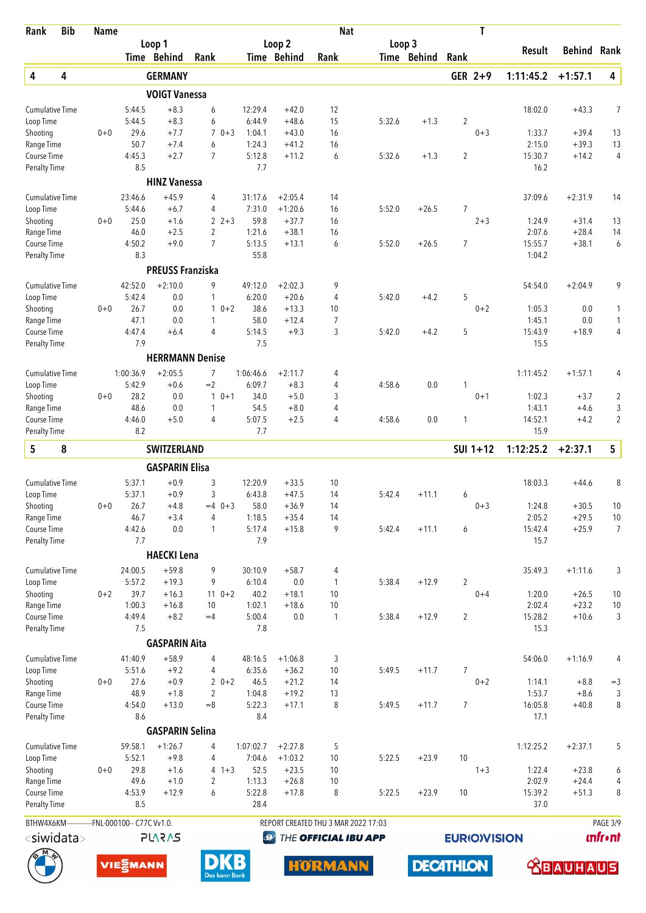| Rank                                | <b>Bib</b>       | <b>Name</b>                                                     |                       |                                |                           |                  |                      | <b>Nat</b>                          |        |                  |                    | T        |                   |                    |                     |
|-------------------------------------|------------------|-----------------------------------------------------------------|-----------------------|--------------------------------|---------------------------|------------------|----------------------|-------------------------------------|--------|------------------|--------------------|----------|-------------------|--------------------|---------------------|
|                                     |                  |                                                                 |                       | Loop 1                         |                           |                  | Loop <sub>2</sub>    |                                     | Loop 3 |                  |                    |          | <b>Result</b>     | <b>Behind Rank</b> |                     |
|                                     |                  |                                                                 |                       | Time Behind                    | Rank                      |                  | Time Behind          | Rank                                |        | Time Behind      | Rank               |          |                   |                    |                     |
| 4                                   | 4                |                                                                 |                       | <b>GERMANY</b>                 |                           |                  |                      |                                     |        |                  |                    | GER 2+9  | 1:11:45.2         | $+1:57.1$          | 4                   |
|                                     |                  |                                                                 |                       | <b>VOIGT Vanessa</b><br>$+8.3$ |                           | 12:29.4          |                      | 12                                  |        |                  |                    |          | 18:02.0           |                    |                     |
| <b>Cumulative Time</b><br>Loop Time |                  |                                                                 | 5:44.5<br>5:44.5      | $+8.3$                         | 6<br>6                    | 6:44.9           | $+42.0$<br>$+48.6$   | 15                                  | 5:32.6 | $+1.3$           | 2                  |          |                   | $+43.3$            | 7                   |
| Shooting                            |                  | $0 + 0$                                                         | 29.6                  | $+7.7$                         | $\overline{7}$<br>$0 + 3$ | 1:04.1           | $+43.0$              | 16                                  |        |                  |                    | $0 + 3$  | 1:33.7            | $+39.4$            | 13                  |
| Range Time                          |                  |                                                                 | 50.7                  | $+7.4$                         | 6                         | 1:24.3           | $+41.2$              | 16                                  |        |                  |                    |          | 2:15.0            | $+39.3$            | 13                  |
| Course Time<br><b>Penalty Time</b>  |                  |                                                                 | 4:45.3<br>8.5         | $+2.7$                         | $\overline{7}$            | 5:12.8<br>7.7    | $+11.2$              | 6                                   | 5:32.6 | $+1.3$           | 2                  |          | 15:30.7<br>16.2   | $+14.2$            | 4                   |
|                                     |                  |                                                                 |                       | <b>HINZ Vanessa</b>            |                           |                  |                      |                                     |        |                  |                    |          |                   |                    |                     |
| <b>Cumulative Time</b>              |                  |                                                                 | 23:46.6               | $+45.9$                        | $\overline{4}$            | 31:17.6          | $+2:05.4$            | 14                                  |        |                  |                    |          | 37:09.6           | $+2:31.9$          | 14                  |
| Loop Time                           |                  |                                                                 | 5:44.6                | $+6.7$                         | 4                         | 7:31.0           | $+1:20.6$            | 16                                  | 5:52.0 | $+26.5$          | 7                  |          |                   |                    |                     |
| Shooting<br>Range Time              |                  | $0 + 0$                                                         | 25.0<br>46.0          | $+1.6$<br>$+2.5$               | $2 + 3$<br>2              | 59.8<br>1:21.6   | $+37.7$<br>$+38.1$   | 16<br>16                            |        |                  |                    | $2 + 3$  | 1:24.9<br>2:07.6  | $+31.4$<br>$+28.4$ | 13<br>14            |
| Course Time                         |                  |                                                                 | 4:50.2                | $+9.0$                         | $\overline{7}$            | 5:13.5           | $+13.1$              | 6                                   | 5:52.0 | $+26.5$          | 7                  |          | 15:55.7           | $+38.1$            | 6                   |
| <b>Penalty Time</b>                 |                  |                                                                 | 8.3                   |                                |                           | 55.8             |                      |                                     |        |                  |                    |          | 1:04.2            |                    |                     |
|                                     |                  |                                                                 |                       | <b>PREUSS Franziska</b>        |                           |                  |                      |                                     |        |                  |                    |          |                   |                    |                     |
| <b>Cumulative Time</b>              |                  |                                                                 | 42:52.0               | $+2:10.0$                      | 9                         | 49:12.0          | $+2:02.3$            | 9                                   |        |                  |                    |          | 54:54.0           | $+2:04.9$          | 9                   |
| Loop Time                           |                  |                                                                 | 5:42.4                | 0.0                            | 1                         | 6:20.0           | $+20.6$              | 4                                   | 5:42.0 | $+4.2$           | 5                  |          |                   |                    |                     |
| Shooting<br>Range Time              |                  | $0 + 0$                                                         | 26.7<br>47.1          | 0.0<br>0.0                     | $10+2$<br>1               | 38.6<br>58.0     | $+13.3$<br>$+12.4$   | 10<br>7                             |        |                  |                    | $0 + 2$  | 1:05.3<br>1:45.1  | 0.0<br>0.0         | 1<br>$\mathbf{1}$   |
| Course Time                         |                  |                                                                 | 4:47.4                | $+6.4$                         | $\overline{4}$            | 5:14.5           | $+9.3$               | 3                                   | 5:42.0 | $+4.2$           | 5                  |          | 15:43.9           | $+18.9$            | 4                   |
| <b>Penalty Time</b>                 |                  |                                                                 | 7.9                   |                                |                           | 7.5              |                      |                                     |        |                  |                    |          | 15.5              |                    |                     |
|                                     |                  |                                                                 |                       |                                | <b>HERRMANN Denise</b>    |                  |                      |                                     |        |                  |                    |          |                   |                    |                     |
| <b>Cumulative Time</b>              |                  |                                                                 | 1:00:36.9             | $+2:05.5$                      | $\overline{7}$            | 1:06:46.6        | $+2:11.7$            | 4                                   |        |                  |                    |          | 1:11:45.2         | $+1:57.1$          | 4                   |
| Loop Time                           |                  |                                                                 | 5:42.9                | $+0.6$                         | $=2$                      | 6:09.7           | $+8.3$               | 4                                   | 4:58.6 | 0.0              | 1                  |          |                   |                    |                     |
| Shooting<br>Range Time              |                  | $0 + 0$                                                         | 28.2<br>48.6          | 0.0<br>0.0                     | $10+1$<br>1               | 34.0<br>54.5     | $+5.0$<br>$+8.0$     | 3<br>4                              |        |                  |                    | $0 + 1$  | 1:02.3<br>1:43.1  | $+3.7$<br>$+4.6$   | $\overline{2}$<br>3 |
| Course Time                         |                  |                                                                 | 4:46.0                | $+5.0$                         | 4                         | 5:07.5           | $+2.5$               | 4                                   | 4:58.6 | 0.0              | 1                  |          | 14:52.1           | $+4.2$             | 2                   |
| <b>Penalty Time</b>                 |                  |                                                                 | 8.2                   |                                |                           | 7.7              |                      |                                     |        |                  |                    |          | 15.9              |                    |                     |
| 5                                   | 8                |                                                                 |                       | <b>SWITZERLAND</b>             |                           |                  |                      |                                     |        |                  |                    | SUI 1+12 | 1:12:25.2         | $+2:37.1$          | 5                   |
|                                     |                  |                                                                 |                       | <b>GASPARIN Elisa</b>          |                           |                  |                      |                                     |        |                  |                    |          |                   |                    |                     |
| <b>Cumulative Time</b>              |                  |                                                                 | 5:37.1                | $+0.9$                         | 3                         | 12:20.9          | $+33.5$              | 10                                  |        |                  |                    |          | 18:03.3           | $+44.6$            | 8                   |
| Loop Time                           |                  |                                                                 | 5:37.1                | $+0.9$                         | 3                         | 6:43.8           | $+47.5$              | 14                                  | 5:42.4 | $+11.1$          | 6                  |          |                   |                    |                     |
| Shooting                            |                  | $0+0$                                                           | 26.7<br>46.7          | $+4.8$<br>$+3.4$               | $=4$ 0+3<br>4             | 58.0<br>1:18.5   | $+36.9$<br>$+35.4$   | 14<br>14                            |        |                  |                    | $0 + 3$  | 1:24.8<br>2:05.2  | $+30.5$<br>$+29.5$ | 10<br>$10$          |
| Range Time<br>Course Time           |                  |                                                                 | 4:42.6                | 0.0                            | $\mathbf{1}$              | 5:17.4           | $+15.8$              | 9                                   | 5:42.4 | $+11.1$          | 6                  |          | 15:42.4           | $+25.9$            | $\overline{7}$      |
| <b>Penalty Time</b>                 |                  |                                                                 | 7.7                   |                                |                           | 7.9              |                      |                                     |        |                  |                    |          | 15.7              |                    |                     |
|                                     |                  |                                                                 |                       | <b>HAECKI Lena</b>             |                           |                  |                      |                                     |        |                  |                    |          |                   |                    |                     |
| <b>Cumulative Time</b>              |                  |                                                                 | 24:00.5               | $+59.8$                        | 9                         | 30:10.9          | $+58.7$              | 4                                   |        |                  |                    |          | 35:49.3           | $+1:11.6$          | 3                   |
| Loop Time                           |                  |                                                                 | 5:57.2                | $+19.3$                        | 9                         | 6:10.4           | 0.0                  | $\mathbf{1}$                        | 5:38.4 | $+12.9$          | $\overline{2}$     |          |                   |                    |                     |
| Shooting<br>Range Time              |                  | $0 + 2$                                                         | 39.7<br>1:00.3        | $+16.3$<br>$+16.8$             | $110+2$<br>10             | 40.2<br>1:02.1   | $+18.1$<br>$+18.6$   | 10<br>10                            |        |                  |                    | $0 + 4$  | 1:20.0<br>2:02.4  | $+26.5$<br>$+23.2$ | 10<br>$10$          |
| Course Time                         |                  |                                                                 | 4:49.4                | $+8.2$                         | $=4$                      | 5:00.4           | 0.0                  | $\mathbf{1}$                        | 5:38.4 | $+12.9$          | $\overline{2}$     |          | 15:28.2           | $+10.6$            | 3                   |
| Penalty Time                        |                  |                                                                 | 7.5                   |                                |                           | 7.8              |                      |                                     |        |                  |                    |          | 15.3              |                    |                     |
|                                     |                  |                                                                 |                       | <b>GASPARIN Aita</b>           |                           |                  |                      |                                     |        |                  |                    |          |                   |                    |                     |
| <b>Cumulative Time</b>              |                  |                                                                 | 41:40.9               | $+58.9$                        | 4                         | 48:16.5          | $+1:06.8$            | 3                                   |        |                  |                    |          | 54:06.0           | $+1:16.9$          | 4                   |
| Loop Time                           |                  |                                                                 | 5:51.6                | $+9.2$                         | 4                         | 6:35.6           | $+36.2$              | 10                                  | 5:49.5 | $+11.7$          | 7                  |          |                   |                    |                     |
| Shooting                            |                  | $0 + 0$                                                         | 27.6                  | $+0.9$                         | $20+2$                    | 46.5             | $+21.2$              | 14                                  |        |                  |                    | $0 + 2$  | 1:14.1            | $+8.8$             | $=3$                |
| Range Time<br>Course Time           |                  |                                                                 | 48.9<br>4:54.0        | $+1.8$<br>$+13.0$              | $\overline{2}$<br>$= 8$   | 1:04.8<br>5:22.3 | $+19.2$<br>$+17.1$   | 13<br>8                             | 5:49.5 | $+11.7$          | $\overline{7}$     |          | 1:53.7<br>16:05.8 | $+8.6$<br>$+40.8$  | 3<br>8              |
| <b>Penalty Time</b>                 |                  |                                                                 | 8.6                   |                                |                           | 8.4              |                      |                                     |        |                  |                    |          | 17.1              |                    |                     |
|                                     |                  |                                                                 |                       | <b>GASPARIN Selina</b>         |                           |                  |                      |                                     |        |                  |                    |          |                   |                    |                     |
| <b>Cumulative Time</b>              |                  |                                                                 | 59:58.1               | $+1:26.7$                      | 4                         | 1:07:02.7        | $+2:27.8$            | 5                                   |        |                  |                    |          | 1:12:25.2         | $+2:37.1$          | 5                   |
| Loop Time                           |                  |                                                                 | 5:52.1                | $+9.8$                         | 4                         | 7:04.6           | $+1:03.2$            | 10                                  | 5:22.5 | $+23.9$          | 10                 |          |                   |                    |                     |
| Shooting                            |                  | $0 + 0$                                                         | 29.8                  | $+1.6$                         | 4<br>$1 + 3$              | 52.5             | $+23.5$              | 10                                  |        |                  |                    | $1 + 3$  | 1:22.4            | $+23.8$            | 6                   |
| Range Time<br>Course Time           |                  |                                                                 | 49.6<br>4:53.9        | $+1.0$<br>$+12.9$              | $\overline{2}$<br>6       | 1:13.3<br>5:22.8 | $+26.8$<br>$+17.8$   | 10<br>8                             | 5:22.5 | $+23.9$          | 10                 |          | 2:02.9<br>15:39.2 | $+24.4$<br>$+51.3$ | 4<br>8              |
| <b>Penalty Time</b>                 |                  |                                                                 | 8.5                   |                                |                           | 28.4             |                      |                                     |        |                  |                    |          | 37.0              |                    |                     |
|                                     |                  |                                                                 |                       |                                |                           |                  |                      | REPORT CREATED THU 3 MAR 2022 17:03 |        |                  |                    |          |                   |                    | PAGE 3/9            |
|                                     | $<$ siwidata $>$ | BTHW4X6KM-------------FNL-000100-- C77C Vv1.0.<br><b>PLARAS</b> |                       |                                | $\bigcirc$                |                  | THE OFFICIAL IBU APP |                                     |        |                  | <b>EURIOVISION</b> |          |                   | <b>unfront</b>     |                     |
|                                     |                  |                                                                 |                       |                                |                           |                  |                      |                                     |        |                  |                    |          |                   |                    |                     |
|                                     |                  |                                                                 | VIE <sub>E</sub> MANN |                                |                           |                  |                      | <b>HÖRMANN</b>                      |        | <b>DECATHLON</b> |                    |          |                   | <b>ABAUHAUS</b>    |                     |





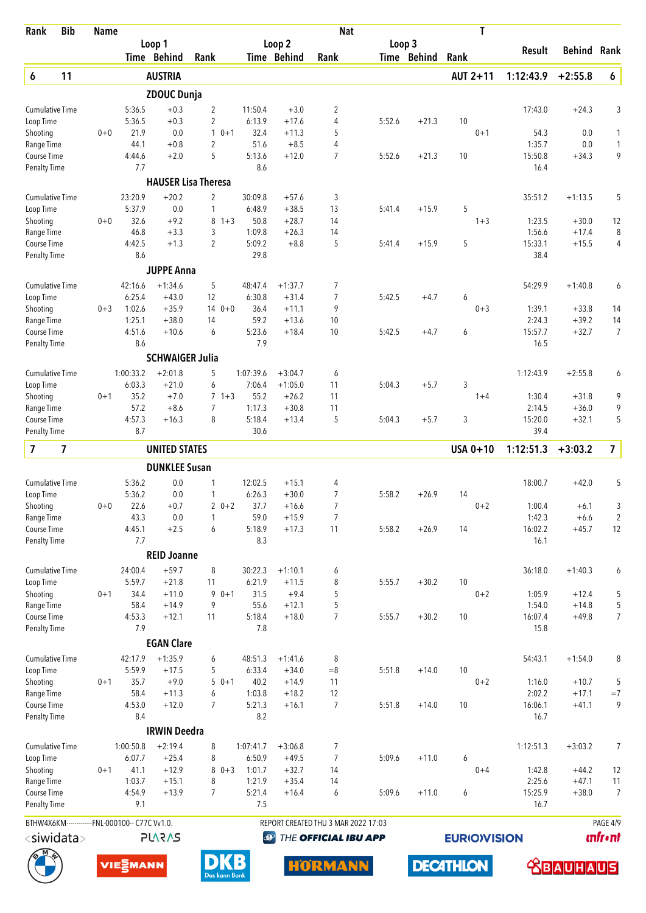| Rank                        | <b>Bib</b>                                     | <b>Name</b> |                     |                        |                                           |                     |                        | <b>Nat</b>                          |        |             | T                   |                   |                    |                      |
|-----------------------------|------------------------------------------------|-------------|---------------------|------------------------|-------------------------------------------|---------------------|------------------------|-------------------------------------|--------|-------------|---------------------|-------------------|--------------------|----------------------|
|                             |                                                |             |                     | Loop 1                 |                                           |                     | Loop <sub>2</sub>      |                                     | Loop 3 |             |                     | Result            | Behind             | Rank                 |
|                             |                                                |             |                     | Time Behind            | Rank                                      |                     | Time Behind            | Rank                                |        | Time Behind | Rank                |                   |                    |                      |
| 6                           | 11                                             |             |                     | <b>AUSTRIA</b>         |                                           |                     |                        |                                     |        |             | AUT 2+11            | 1:12:43.9         | $+2:55.8$          | 6                    |
|                             |                                                |             |                     | <b>ZDOUC Dunja</b>     |                                           |                     |                        |                                     |        |             |                     |                   |                    |                      |
| <b>Cumulative Time</b>      |                                                |             | 5:36.5              | $+0.3$                 | $\overline{2}$                            | 11:50.4             | $+3.0$                 | 2                                   |        |             |                     | 17:43.0           | $+24.3$            | 3                    |
| Loop Time                   |                                                |             | 5:36.5              | $+0.3$                 | $\overline{2}$                            | 6:13.9              | $+17.6$                | 4                                   | 5:52.6 | $+21.3$     | 10                  |                   |                    |                      |
| Shooting<br>Range Time      |                                                | $0 + 0$     | 21.9<br>44.1        | 0.0<br>$+0.8$          | $\mathbf{1}$<br>$0 + 1$<br>$\overline{2}$ | 32.4<br>51.6        | $+11.3$<br>$+8.5$      | 5<br>4                              |        |             | $0 + 1$             | 54.3<br>1:35.7    | 0.0<br>0.0         | 1<br>$\mathbf{1}$    |
| Course Time                 |                                                |             | 4:44.6              | $+2.0$                 | 5                                         | 5:13.6              | $+12.0$                | $\overline{7}$                      | 5:52.6 | $+21.3$     | 10                  | 15:50.8           | $+34.3$            | 9                    |
| <b>Penalty Time</b>         |                                                |             | 7.7                 |                        |                                           | 8.6                 |                        |                                     |        |             |                     | 16.4              |                    |                      |
|                             |                                                |             |                     |                        | <b>HAUSER Lisa Theresa</b>                |                     |                        |                                     |        |             |                     |                   |                    |                      |
| <b>Cumulative Time</b>      |                                                |             | 23:20.9             | $+20.2$                | $\overline{2}$                            | 30:09.8             | $+57.6$                | 3                                   |        |             |                     | 35:51.2           | $+1:13.5$          | 5                    |
| Loop Time                   |                                                |             | 5:37.9              | 0.0                    | $\mathbf{1}$                              | 6:48.9              | $+38.5$                | 13                                  | 5:41.4 | $+15.9$     | 5                   |                   |                    |                      |
| Shooting                    |                                                | $0 + 0$     | 32.6                | $+9.2$                 | 8<br>$1 + 3$                              | 50.8                | $+28.7$                | 14                                  |        |             | $1 + 3$             | 1:23.5            | $+30.0$            | 12                   |
| Range Time                  |                                                |             | 46.8                | $+3.3$                 | 3                                         | 1:09.8              | $+26.3$                | 14                                  |        |             |                     | 1:56.6            | $+17.4$            | 8                    |
| Course Time                 |                                                |             | 4:42.5              | $+1.3$                 | $\overline{2}$                            | 5:09.2              | $+8.8$                 | 5                                   | 5:41.4 | $+15.9$     | 5                   | 15:33.1           | $+15.5$            | 4                    |
| <b>Penalty Time</b>         |                                                |             | 8.6                 |                        |                                           | 29.8                |                        |                                     |        |             |                     | 38.4              |                    |                      |
|                             |                                                |             |                     | <b>JUPPE Anna</b>      |                                           |                     |                        |                                     |        |             |                     |                   |                    |                      |
| <b>Cumulative Time</b>      |                                                |             | 42:16.6             | $+1:34.6$              | 5                                         | 48:47.4             | $+1:37.7$              | 7                                   |        |             |                     | 54:29.9           | $+1:40.8$          | 6                    |
| Loop Time                   |                                                |             | 6:25.4              | $+43.0$                | 12                                        | 6:30.8              | $+31.4$                | 7                                   | 5:42.5 | $+4.7$      | 6                   |                   |                    |                      |
| Shooting                    |                                                | $0 + 3$     | 1:02.6              | $+35.9$                | $140+0$                                   | 36.4                | $+11.1$                | 9                                   |        |             | $0 + 3$             | 1:39.1            | $+33.8$            | 14                   |
| Range Time<br>Course Time   |                                                |             | 1:25.1<br>4:51.6    | $+38.0$<br>$+10.6$     | 14<br>6                                   | 59.2<br>5:23.6      | $+13.6$<br>$+18.4$     | 10<br>10                            | 5:42.5 | $+4.7$      | 6                   | 2:24.3<br>15:57.7 | $+39.2$<br>$+32.7$ | 14<br>$\overline{7}$ |
| <b>Penalty Time</b>         |                                                |             | 8.6                 |                        |                                           | 7.9                 |                        |                                     |        |             |                     | 16.5              |                    |                      |
|                             |                                                |             |                     | <b>SCHWAIGER Julia</b> |                                           |                     |                        |                                     |        |             |                     |                   |                    |                      |
|                             |                                                |             |                     |                        |                                           |                     |                        |                                     |        |             |                     |                   |                    |                      |
| <b>Cumulative Time</b>      |                                                |             | 1:00:33.2<br>6:03.3 | $+2:01.8$<br>$+21.0$   | 5<br>6                                    | 1:07:39.6<br>7:06.4 | $+3:04.7$<br>$+1:05.0$ | 6<br>11                             | 5:04.3 | $+5.7$      | 3                   | 1:12:43.9         | $+2:55.8$          | 6                    |
| Loop Time<br>Shooting       |                                                | $0 + 1$     | 35.2                | $+7.0$                 | $7 + 3$                                   | 55.2                | $+26.2$                | 11                                  |        |             | $1+4$               | 1:30.4            | $+31.8$            | 9                    |
| Range Time                  |                                                |             | 57.2                | $+8.6$                 | 7                                         | 1:17.3              | $+30.8$                | 11                                  |        |             |                     | 2:14.5            | $+36.0$            | 9                    |
| Course Time                 |                                                |             | 4:57.3              | $+16.3$                | 8                                         | 5:18.4              | $+13.4$                | 5                                   | 5:04.3 | $+5.7$      | 3                   | 15:20.0           | $+32.1$            | 5                    |
| <b>Penalty Time</b>         |                                                |             | 8.7                 |                        |                                           | 30.6                |                        |                                     |        |             |                     | 39.4              |                    |                      |
| $\overline{\mathbf{z}}$     | $\overline{\mathbf{z}}$                        |             |                     | <b>UNITED STATES</b>   |                                           |                     |                        |                                     |        |             | USA 0+10            | 1:12:51.3         | $+3:03.2$          | $\overline{7}$       |
|                             |                                                |             |                     | <b>DUNKLEE Susan</b>   |                                           |                     |                        |                                     |        |             |                     |                   |                    |                      |
| <b>Cumulative Time</b>      |                                                |             | 5:36.2              | 0.0                    | 1                                         | 12:02.5             | $+15.1$                | 4                                   |        |             |                     | 18:00.7           | $+42.0$            | 5                    |
| Loop Time                   |                                                |             | 5:36.2              | 0.0                    | 1                                         | 6:26.3              | $+30.0$                | $\overline{7}$                      | 5:58.2 | $+26.9$     | 14                  |                   |                    |                      |
| Shooting                    |                                                | $0 + 0$     | 22.6                | $+0.7$                 | $20+2$                                    | 37.7                | $+16.6$                | 7                                   |        |             | $0 + 2$             | 1:00.4            | $+6.1$             | 3                    |
| Range Time                  |                                                |             | 43.3                | 0.0                    | 1                                         | 59.0                | $+15.9$                | 7                                   |        |             |                     | 1:42.3            | $+6.6$             | $\overline{2}$       |
| Course Time                 |                                                |             | 4:45.1              | $+2.5$                 | 6                                         | 5:18.9              | $+17.3$                | 11                                  | 5:58.2 | $+26.9$     | 14                  | 16:02.2           | $+45.7$            | 12                   |
| <b>Penalty Time</b>         |                                                |             | 7.7                 |                        |                                           | 8.3                 |                        |                                     |        |             |                     | 16.1              |                    |                      |
|                             |                                                |             |                     | <b>REID Joanne</b>     |                                           |                     |                        |                                     |        |             |                     |                   |                    |                      |
| <b>Cumulative Time</b>      |                                                |             | 24:00.4             | $+59.7$                | 8                                         | 30:22.3             | $+1:10.1$              | 6                                   |        |             |                     | 36:18.0           | $+1:40.3$          | 6                    |
| Loop Time                   |                                                |             | 5:59.7              | $+21.8$                | 11                                        | 6:21.9              | $+11.5$                | 8                                   | 5:55.7 | $+30.2$     | 10                  |                   |                    |                      |
| Shooting<br>Range Time      |                                                | $0 + 1$     | 34.4<br>58.4        | $+11.0$<br>$+14.9$     | 9<br>$0 + 1$<br>9                         | 31.5<br>55.6        | $+9.4$<br>$+12.1$      | 5<br>5                              |        |             | $0 + 2$             | 1:05.9<br>1:54.0  | $+12.4$<br>$+14.8$ | 5<br>5               |
| Course Time                 |                                                |             | 4:53.3              | $+12.1$                | 11                                        | 5:18.4              | $+18.0$                | 7                                   | 5:55.7 | $+30.2$     | 10                  | 16:07.4           | $+49.8$            | 7                    |
| <b>Penalty Time</b>         |                                                |             | 7.9                 |                        |                                           | 7.8                 |                        |                                     |        |             |                     | 15.8              |                    |                      |
|                             |                                                |             |                     | <b>EGAN Clare</b>      |                                           |                     |                        |                                     |        |             |                     |                   |                    |                      |
| <b>Cumulative Time</b>      |                                                |             | 42:17.9             | $+1:35.9$              | 6                                         | 48:51.3             | $+1:41.6$              | 8                                   |        |             |                     | 54:43.1           | $+1:54.0$          | 8                    |
| Loop Time                   |                                                |             | 5:59.9              | $+17.5$                | 5                                         | 6:33.4              | $+34.0$                | $=8$                                | 5:51.8 | $+14.0$     | 10                  |                   |                    |                      |
| Shooting                    |                                                | $0 + 1$     | 35.7                | $+9.0$                 | $50+1$                                    | 40.2                | $+14.9$                | 11                                  |        |             | $0 + 2$             | 1:16.0            | $+10.7$            | 5                    |
| Range Time                  |                                                |             | 58.4                | $+11.3$                | 6                                         | 1:03.8              | $+18.2$                | 12                                  |        |             |                     | 2:02.2            | $+17.1$            | $=7$                 |
| Course Time                 |                                                |             | 4:53.0              | $+12.0$                | $\overline{7}$                            | 5:21.3              | $+16.1$                | 7                                   | 5:51.8 | $+14.0$     | 10                  | 16:06.1           | $+41.1$            | 9                    |
| <b>Penalty Time</b>         |                                                |             | 8.4                 |                        |                                           | 8.2                 |                        |                                     |        |             |                     | 16.7              |                    |                      |
|                             |                                                |             |                     | <b>IRWIN Deedra</b>    |                                           |                     |                        |                                     |        |             |                     |                   |                    |                      |
| <b>Cumulative Time</b>      |                                                |             | 1:00:50.8           | $+2:19.4$              | 8                                         | 1:07:41.7           | $+3:06.8$              | 7                                   |        |             |                     | 1:12:51.3         | $+3:03.2$          | 7                    |
| Loop Time                   |                                                |             | 6:07.7              | $+25.4$                | 8                                         | 6:50.9              | $+49.5$                | $\overline{7}$                      | 5:09.6 | $+11.0$     | 6                   |                   |                    |                      |
| Shooting                    |                                                | $0 + 1$     | 41.1                | $+12.9$                | $80+3$                                    | 1:01.7              | $+32.7$                | 14                                  |        |             | $0 + 4$             | 1:42.8            | $+44.2$            | 12                   |
| Range Time                  |                                                |             | 1:03.7              | $+15.1$                | 8                                         | 1:21.9              | $+35.4$                | 14                                  |        |             |                     | 2:25.6            | $+47.1$            | 11                   |
| Course Time<br>Penalty Time |                                                |             | 4:54.9<br>9.1       | $+13.9$                | $\overline{7}$                            | 5:21.4<br>7.5       | $+16.4$                | 6                                   | 5:09.6 | $+11.0$     | 6                   | 15:25.9<br>16.7   | $+38.0$            | $\overline{7}$       |
|                             |                                                |             |                     |                        |                                           |                     |                        |                                     |        |             |                     |                   |                    |                      |
|                             | BTHW4X6KM-------------FNL-000100-- C77C Vv1.0. |             |                     |                        |                                           |                     |                        | REPORT CREATED THU 3 MAR 2022 17:03 |        |             |                     |                   |                    | PAGE 4/9             |
|                             | <siwidata></siwidata>                          |             |                     | <b>SV2V7L</b>          |                                           |                     | $\bigcirc$             | THE OFFICIAL IBU APP                |        |             | <b>EURIO)VISION</b> |                   |                    | <b>unfr</b> •nt      |

**DECATHLON** 





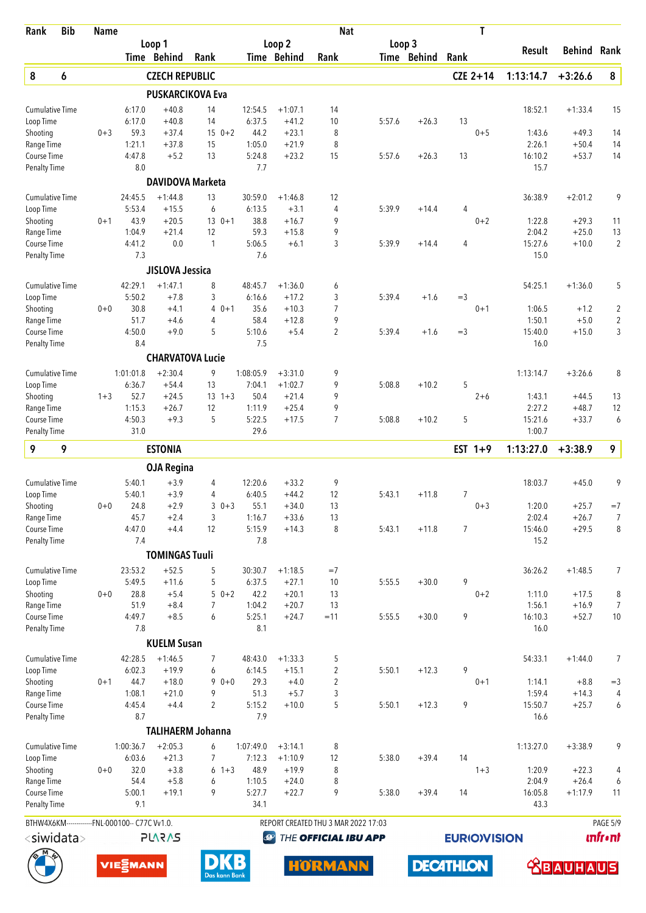| <b>Bib</b><br>Rank                             | <b>Name</b> |                  |                         |                                |                  |                    | <b>Nat</b>                          |        |             | Τ                  |                   |                    |                     |
|------------------------------------------------|-------------|------------------|-------------------------|--------------------------------|------------------|--------------------|-------------------------------------|--------|-------------|--------------------|-------------------|--------------------|---------------------|
|                                                |             |                  | Loop 1                  |                                |                  | Loop 2             |                                     | Loop 3 |             |                    | Result            | <b>Behind</b>      | Rank                |
|                                                |             |                  | Time Behind             | Rank                           |                  | Time Behind        | Rank                                |        | Time Behind | Rank               |                   |                    |                     |
| 8<br>6                                         |             |                  | <b>CZECH REPUBLIC</b>   |                                |                  |                    |                                     |        |             | $CZE 2+14$         | 1:13:14.7         | $+3:26.6$          | 8                   |
|                                                |             |                  |                         | <b>PUSKARCIKOVA Eva</b>        |                  |                    |                                     |        |             |                    |                   |                    |                     |
| <b>Cumulative Time</b>                         |             | 6:17.0           | $+40.8$                 | 14                             | 12:54.5          | $+1:07.1$          | 14                                  |        |             |                    | 18:52.1           | $+1:33.4$          | 15                  |
| Loop Time                                      |             | 6:17.0           | $+40.8$                 | 14                             | 6:37.5           | $+41.2$            | 10                                  | 5:57.6 | $+26.3$     | 13                 |                   |                    |                     |
| Shooting                                       | $0 + 3$     | 59.3             | $+37.4$                 | $150+2$                        | 44.2             | $+23.1$            | 8                                   |        |             | $0 + 5$            | 1:43.6            | $+49.3$            | 14                  |
| Range Time<br>Course Time                      |             | 1:21.1<br>4:47.8 | $+37.8$<br>$+5.2$       | 15<br>13                       | 1:05.0<br>5:24.8 | $+21.9$<br>$+23.2$ | 8<br>15                             | 5:57.6 | $+26.3$     | 13                 | 2:26.1<br>16:10.2 | $+50.4$<br>$+53.7$ | 14<br>14            |
| Penalty Time                                   |             | 8.0              |                         |                                | 7.7              |                    |                                     |        |             |                    | 15.7              |                    |                     |
|                                                |             |                  | <b>DAVIDOVA Marketa</b> |                                |                  |                    |                                     |        |             |                    |                   |                    |                     |
| <b>Cumulative Time</b>                         |             | 24:45.5          | $+1:44.8$               | 13                             | 30:59.0          | $+1:46.8$          | 12                                  |        |             |                    | 36:38.9           | $+2:01.2$          | 9                   |
| Loop Time                                      |             | 5:53.4           | $+15.5$                 | 6                              | 6:13.5           | $+3.1$             | 4                                   | 5:39.9 | $+14.4$     | 4                  |                   |                    |                     |
| Shooting                                       | $0 + 1$     | 43.9             | $+20.5$                 | $130+1$                        | 38.8             | $+16.7$            | 9                                   |        |             | $0 + 2$            | 1:22.8            | $+29.3$            | 11                  |
| Range Time                                     |             | 1:04.9           | $+21.4$                 | 12                             | 59.3             | $+15.8$            | 9                                   |        |             |                    | 2:04.2            | $+25.0$            | 13                  |
| Course Time                                    |             | 4:41.2           | 0.0                     | $\mathbf{1}$                   | 5:06.5           | $+6.1$             | 3                                   | 5:39.9 | $+14.4$     | 4                  | 15:27.6           | $+10.0$            | $\overline{2}$      |
| Penalty Time                                   |             | 7.3              |                         |                                | 7.6              |                    |                                     |        |             |                    | 15.0              |                    |                     |
|                                                |             |                  | <b>JISLOVA Jessica</b>  |                                |                  |                    |                                     |        |             |                    |                   |                    |                     |
| <b>Cumulative Time</b>                         |             | 42:29.1          | $+1:47.1$               | 8                              | 48:45.7          | $+1:36.0$          | 6                                   |        |             |                    | 54:25.1           | $+1:36.0$          | 5                   |
| Loop Time<br>Shooting                          | $0 + 0$     | 5:50.2<br>30.8   | $+7.8$<br>$+4.1$        | 3<br>$\overline{4}$<br>$0 + 1$ | 6:16.6<br>35.6   | $+17.2$<br>$+10.3$ | 3<br>$\overline{7}$                 | 5:39.4 | $+1.6$      | $=$ 3<br>$0 + 1$   | 1:06.5            | $+1.2$             | $\overline{2}$      |
| Range Time                                     |             | 51.7             | $+4.6$                  | 4                              | 58.4             | $+12.8$            | 9                                   |        |             |                    | 1:50.1            | $+5.0$             | $\overline{c}$      |
| Course Time                                    |             | 4:50.0           | $+9.0$                  | 5                              | 5:10.6           | $+5.4$             | $\overline{2}$                      | 5:39.4 | $+1.6$      | $=$ 3              | 15:40.0           | $+15.0$            | 3                   |
| <b>Penalty Time</b>                            |             | 8.4              |                         |                                | 7.5              |                    |                                     |        |             |                    | 16.0              |                    |                     |
|                                                |             |                  | <b>CHARVATOVA Lucie</b> |                                |                  |                    |                                     |        |             |                    |                   |                    |                     |
| <b>Cumulative Time</b>                         |             | 1:01:01.8        | $+2:30.4$               | 9                              | 1:08:05.9        | $+3:31.0$          | 9                                   |        |             |                    | 1:13:14.7         | $+3:26.6$          | 8                   |
| Loop Time                                      |             | 6:36.7           | $+54.4$                 | 13                             | 7:04.1           | $+1:02.7$          | 9                                   | 5:08.8 | $+10.2$     | 5                  |                   |                    |                     |
| Shooting                                       | $1 + 3$     | 52.7             | $+24.5$                 | $13 + 3$                       | 50.4             | $+21.4$            | 9                                   |        |             | $2 + 6$            | 1:43.1            | $+44.5$            | 13                  |
| Range Time                                     |             | 1:15.3           | $+26.7$                 | 12                             | 1:11.9           | $+25.4$            | 9                                   |        |             |                    | 2:27.2            | $+48.7$            | 12                  |
| Course Time<br><b>Penalty Time</b>             |             | 4:50.3<br>31.0   | $+9.3$                  | 5                              | 5:22.5<br>29.6   | $+17.5$            | $\overline{7}$                      | 5:08.8 | $+10.2$     | 5                  | 15:21.6<br>1:00.7 | $+33.7$            | 6                   |
|                                                |             |                  |                         |                                |                  |                    |                                     |        |             |                    |                   |                    |                     |
| 9<br>9                                         |             |                  | <b>ESTONIA</b>          |                                |                  |                    |                                     |        |             | EST $1+9$          | 1:13:27.0         | $+3:38.9$          | 9                   |
|                                                |             |                  | <b>OJA Regina</b>       |                                |                  |                    |                                     |        |             |                    |                   |                    |                     |
| <b>Cumulative Time</b>                         |             | 5:40.1           | $+3.9$                  | 4                              | 12:20.6          | $+33.2$            | 9                                   |        |             |                    | 18:03.7           | $+45.0$            | 9                   |
| Loop Time                                      |             | 5:40.1           | $+3.9$                  | 4                              | 6:40.5           | $+44.2$            | 12                                  | 5:43.1 | $+11.8$     | 7                  |                   |                    |                     |
| Shooting                                       | $0 + 0$     | 24.8             | $+2.9$                  | $30+3$                         | 55.1             | $+34.0$            | 13                                  |        |             | $0 + 3$            | 1:20.0            | $+25.7$            | $=7$                |
| Range Time<br>Course Time                      |             | 45.7<br>4:47.0   | $+2.4$<br>$+4.4$        | 3<br>12                        | 1:16.7<br>5:15.9 | $+33.6$<br>$+14.3$ | 13<br>8                             | 5:43.1 | $+11.8$     | $\overline{7}$     | 2:02.4<br>15:46.0 | $+26.7$<br>$+29.5$ | 7<br>8              |
| <b>Penalty Time</b>                            |             | 7.4              |                         |                                | 7.8              |                    |                                     |        |             |                    | 15.2              |                    |                     |
|                                                |             |                  | <b>TOMINGAS Tuuli</b>   |                                |                  |                    |                                     |        |             |                    |                   |                    |                     |
| <b>Cumulative Time</b>                         |             | 23:53.2          | $+52.5$                 | 5                              | 30:30.7          | $+1:18.5$          | $=7$                                |        |             |                    | 36:26.2           | $+1:48.5$          | $\overline{7}$      |
| Loop Time                                      |             | 5:49.5           | $+11.6$                 | 5                              | 6:37.5           | $+27.1$            | 10                                  | 5:55.5 | $+30.0$     | 9                  |                   |                    |                     |
| Shooting                                       | $0 + 0$     | 28.8             | $+5.4$                  | $50+2$                         | 42.2             | $+20.1$            | 13                                  |        |             | $0 + 2$            | 1:11.0            | $+17.5$            | 8                   |
| Range Time                                     |             | 51.9             | $+8.4$                  | $\overline{7}$                 | 1:04.2           | $+20.7$            | 13                                  |        |             |                    | 1:56.1            | $+16.9$            | 7                   |
| Course Time                                    |             | 4:49.7           | $+8.5$                  | 6                              | 5:25.1           | $+24.7$            | $=11$                               | 5:55.5 | $+30.0$     | 9                  | 16:10.3           | $+52.7$            | $10$                |
| <b>Penalty Time</b>                            |             | 7.8              |                         |                                | 8.1              |                    |                                     |        |             |                    | 16.0              |                    |                     |
|                                                |             |                  | <b>KUELM Susan</b>      |                                |                  |                    |                                     |        |             |                    |                   |                    |                     |
| <b>Cumulative Time</b>                         |             | 42:28.5          | $+1:46.5$               | 7                              | 48:43.0          | $+1:33.3$          | 5                                   |        |             |                    | 54:33.1           | $+1:44.0$          | 7                   |
| Loop Time                                      |             | 6:02.3           | $+19.9$                 | 6                              | 6:14.5           | $+15.1$            | $\overline{2}$                      | 5:50.1 | $+12.3$     | 9                  |                   |                    |                     |
| Shooting                                       | $0 + 1$     | 44.7             | $+18.0$                 | $90+0$                         | 29.3             | $+4.0$             | $\overline{2}$                      |        |             | $0 + 1$            | 1:14.1            | $+8.8$             | $=$ 3               |
| Range Time<br>Course Time                      |             | 1:08.1<br>4:45.4 | $+21.0$<br>$+4.4$       | 9<br>$\overline{2}$            | 51.3<br>5:15.2   | $+5.7$<br>$+10.0$  | 3<br>5                              | 5:50.1 | $+12.3$     | 9                  | 1:59.4<br>15:50.7 | $+14.3$<br>$+25.7$ | $\overline{4}$<br>6 |
| <b>Penalty Time</b>                            |             | 8.7              |                         |                                | 7.9              |                    |                                     |        |             |                    | 16.6              |                    |                     |
|                                                |             |                  |                         | <b>TALIHAERM Johanna</b>       |                  |                    |                                     |        |             |                    |                   |                    |                     |
| <b>Cumulative Time</b>                         |             | 1:00:36.7        | $+2:05.3$               | 6                              | 1:07:49.0        | $+3:14.1$          | 8                                   |        |             |                    | 1:13:27.0         | $+3:38.9$          | 9                   |
| Loop Time                                      |             | 6:03.6           | $+21.3$                 | 7                              | 7:12.3           | $+1:10.9$          | 12                                  | 5:38.0 | $+39.4$     | 14                 |                   |                    |                     |
| Shooting                                       | $0+0$       | 32.0             | $+3.8$                  | $6 + 3$                        | 48.9             | $+19.9$            | 8                                   |        |             | $1 + 3$            | 1:20.9            | $+22.3$            | 4                   |
| Range Time                                     |             | 54.4             | $+5.8$                  | 6                              | 1:10.5           | $+24.0$            | 8                                   |        |             |                    | 2:04.9            | $+26.4$            | 6                   |
| Course Time                                    |             | 5:00.1           | $+19.1$                 | 9                              | 5:27.7           | $+22.7$            | 9                                   | 5:38.0 | $+39.4$     | 14                 | 16:05.8           | $+1:17.9$          | 11                  |
| <b>Penalty Time</b>                            |             | 9.1              |                         |                                | 34.1             |                    |                                     |        |             |                    | 43.3              |                    |                     |
| BTHW4X6KM-------------FNL-000100-- C77C Vv1.0. |             |                  |                         |                                |                  |                    | REPORT CREATED THU 3 MAR 2022 17:03 |        |             |                    |                   |                    | PAGE 5/9            |
| $<$ siwidata $>$                               |             |                  | <b>PLARAS</b>           |                                | $\bigcirc$       |                    | THE OFFICIAL IBU APP                |        |             | <b>EURIOVISION</b> |                   |                    | <b>unfront</b>      |
|                                                |             | VIE EMANN        |                         | Das kann Bank                  |                  |                    | <b>HORMANN</b>                      |        |             | <b>DECATHLON</b>   |                   | <b>BAUHA</b>       | US                  |
|                                                |             |                  |                         |                                |                  |                    |                                     |        |             |                    |                   |                    |                     |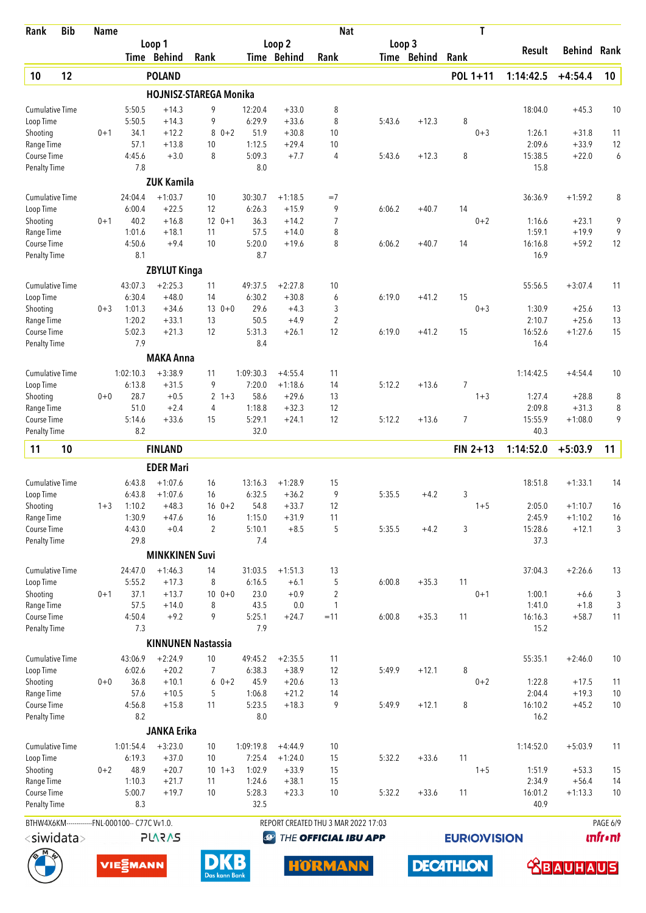| Rank                                | <b>Bib</b>       | <b>Name</b> |                                                |                           |                   |                   |                      | <b>Nat</b>                          |        |             |                | Τ                   |                   |                        |                             |
|-------------------------------------|------------------|-------------|------------------------------------------------|---------------------------|-------------------|-------------------|----------------------|-------------------------------------|--------|-------------|----------------|---------------------|-------------------|------------------------|-----------------------------|
|                                     |                  |             |                                                | Loop 1                    |                   |                   | Loop 2               |                                     | Loop 3 |             |                |                     | Result            | Behind                 | Rank                        |
|                                     |                  |             |                                                | Time Behind               | Rank              |                   | Time Behind          | Rank                                |        | Time Behind | Rank           |                     |                   |                        |                             |
| 10                                  | 12               |             |                                                | <b>POLAND</b>             |                   |                   |                      |                                     |        |             |                | POL 1+11            | 1:14:42.5         | $+4:54.4$              | 10                          |
|                                     |                  |             |                                                | HOJNISZ-STAREGA Monika    |                   |                   |                      |                                     |        |             |                |                     |                   |                        |                             |
| <b>Cumulative Time</b>              |                  |             | 5:50.5                                         | $+14.3$                   | 9                 | 12:20.4           | $+33.0$              | 8                                   |        |             |                |                     | 18:04.0           | $+45.3$                | 10                          |
| Loop Time<br>Shooting               |                  | $0 + 1$     | 5:50.5<br>34.1                                 | $+14.3$<br>$+12.2$        | 9<br>$80+2$       | 6:29.9<br>51.9    | $+33.6$<br>$+30.8$   | 8<br>10                             | 5:43.6 | $+12.3$     | 8              | $0 + 3$             | 1:26.1            | $+31.8$                | 11                          |
| Range Time                          |                  |             | 57.1                                           | $+13.8$                   | 10                | 1:12.5            | $+29.4$              | 10                                  |        |             |                |                     | 2:09.6            | $+33.9$                | 12                          |
| Course Time                         |                  |             | 4:45.6                                         | $+3.0$                    | 8                 | 5:09.3            | $+7.7$               | 4                                   | 5:43.6 | $+12.3$     | 8              |                     | 15:38.5           | $+22.0$                | 6                           |
| <b>Penalty Time</b>                 |                  |             | 7.8                                            |                           |                   | 8.0               |                      |                                     |        |             |                |                     | 15.8              |                        |                             |
|                                     |                  |             |                                                | <b>ZUK Kamila</b>         |                   |                   |                      |                                     |        |             |                |                     |                   |                        |                             |
| <b>Cumulative Time</b>              |                  |             | 24:04.4                                        | $+1:03.7$                 | 10                | 30:30.7           | $+1:18.5$            | $=7$                                |        |             |                |                     | 36:36.9           | $+1:59.2$              | 8                           |
| Loop Time                           |                  |             | 6:00.4                                         | $+22.5$                   | 12                | 6:26.3            | $+15.9$              | 9                                   | 6:06.2 | $+40.7$     | 14             |                     |                   |                        |                             |
| Shooting                            |                  | $0 + 1$     | 40.2                                           | $+16.8$                   | $12 \t 0+1$       | 36.3              | $+14.2$              | 7                                   |        |             |                | $0 + 2$             | 1:16.6            | $+23.1$                | 9                           |
| Range Time                          |                  |             | 1:01.6                                         | $+18.1$                   | 11                | 57.5              | $+14.0$              | 8                                   |        |             |                |                     | 1:59.1            | $+19.9$                | 9                           |
| Course Time                         |                  |             | 4:50.6<br>8.1                                  | $+9.4$                    | 10                | 5:20.0<br>8.7     | $+19.6$              | 8                                   | 6:06.2 | $+40.7$     | 14             |                     | 16:16.8<br>16.9   | $+59.2$                | 12                          |
| <b>Penalty Time</b>                 |                  |             |                                                |                           |                   |                   |                      |                                     |        |             |                |                     |                   |                        |                             |
|                                     |                  |             |                                                | <b>ZBYLUT Kinga</b>       |                   |                   |                      |                                     |        |             |                |                     |                   |                        |                             |
| Cumulative Time                     |                  |             | 43:07.3<br>6:30.4                              | $+2:25.3$<br>$+48.0$      | 11<br>14          | 49:37.5<br>6:30.2 | $+2:27.8$<br>$+30.8$ | 10<br>6                             | 6:19.0 | $+41.2$     | 15             |                     | 55:56.5           | $+3:07.4$              | 11                          |
| Loop Time<br>Shooting               |                  | $0 + 3$     | 1:01.3                                         | $+34.6$                   | $130+0$           | 29.6              | $+4.3$               | 3                                   |        |             |                | $0 + 3$             | 1:30.9            | $+25.6$                | 13                          |
| Range Time                          |                  |             | 1:20.2                                         | $+33.1$                   | 13                | 50.5              | $+4.9$               | 2                                   |        |             |                |                     | 2:10.7            | $+25.6$                | 13                          |
| Course Time                         |                  |             | 5:02.3                                         | $+21.3$                   | 12                | 5:31.3            | $+26.1$              | 12                                  | 6:19.0 | $+41.2$     | 15             |                     | 16:52.6           | $+1:27.6$              | 15                          |
| <b>Penalty Time</b>                 |                  |             | 7.9                                            |                           |                   | 8.4               |                      |                                     |        |             |                |                     | 16.4              |                        |                             |
|                                     |                  |             |                                                | <b>MAKA Anna</b>          |                   |                   |                      |                                     |        |             |                |                     |                   |                        |                             |
| <b>Cumulative Time</b>              |                  |             | 1:02:10.3                                      | $+3:38.9$                 | 11                | 1:09:30.3         | $+4:55.4$            | 11                                  |        |             |                |                     | 1:14:42.5         | $+4:54.4$              | 10                          |
| Loop Time                           |                  |             | 6:13.8                                         | $+31.5$                   | 9                 | 7:20.0            | $+1:18.6$            | 14                                  | 5:12.2 | $+13.6$     | $\overline{7}$ |                     |                   |                        |                             |
| Shooting                            |                  | $0 + 0$     | 28.7                                           | $+0.5$                    | $2 + 3$           | 58.6              | $+29.6$              | 13                                  |        |             |                | $1 + 3$             | 1:27.4            | $+28.8$                | 8                           |
| Range Time                          |                  |             | 51.0                                           | $+2.4$                    | 4                 | 1:18.8            | $+32.3$              | 12                                  |        |             |                |                     | 2:09.8            | $+31.3$                | 8                           |
| Course Time                         |                  |             | 5:14.6                                         | $+33.6$                   | 15                | 5:29.1            | $+24.1$              | 12                                  | 5:12.2 | $+13.6$     | $\overline{7}$ |                     | 15:55.9           | $+1:08.0$              | 9                           |
| <b>Penalty Time</b>                 |                  |             | 8.2                                            |                           |                   | 32.0              |                      |                                     |        |             |                |                     | 40.3              |                        |                             |
| 11                                  | 10               |             |                                                | <b>FINLAND</b>            |                   |                   |                      |                                     |        |             |                | $FIN 2+13$          | 1:14:52.0         | $+5:03.9$              | 11                          |
|                                     |                  |             |                                                | <b>EDER Mari</b>          |                   |                   |                      |                                     |        |             |                |                     |                   |                        |                             |
| <b>Cumulative Time</b>              |                  |             | 6:43.8                                         | $+1:07.6$                 | 16                | 13:16.3           | $+1:28.9$            | 15                                  |        |             |                |                     | 18:51.8           | $+1:33.1$              | 14                          |
| Loop Time                           |                  |             | 6:43.8                                         | $+1:07.6$                 | 16                | 6:32.5            | $+36.2$              | 9                                   | 5:35.5 | $+4.2$      | 3              |                     |                   |                        |                             |
| Shooting                            |                  | $1 + 3$     | 1:10.2<br>1:30.9                               | $+48.3$<br>$+47.6$        | $16 \t 0+2$<br>16 | 54.8<br>1:15.0    | $+33.7$<br>$+31.9$   | 12<br>11                            |        |             |                | $1 + 5$             | 2:05.0<br>2:45.9  | $+1:10.7$<br>$+1:10.2$ | 16<br>16                    |
| Range Time<br>Course Time           |                  |             | 4:43.0                                         | $+0.4$                    | $\overline{2}$    | 5:10.1            | $+8.5$               | 5                                   | 5:35.5 | $+4.2$      | 3              |                     | 15:28.6           | $+12.1$                | 3                           |
| <b>Penalty Time</b>                 |                  |             | 29.8                                           |                           |                   | 7.4               |                      |                                     |        |             |                |                     | 37.3              |                        |                             |
|                                     |                  |             |                                                | <b>MINKKINEN Suvi</b>     |                   |                   |                      |                                     |        |             |                |                     |                   |                        |                             |
| <b>Cumulative Time</b>              |                  |             | 24:47.0                                        | $+1:46.3$                 | 14                | 31:03.5           | $+1:51.3$            | 13                                  |        |             |                |                     | 37:04.3           | $+2:26.6$              | 13                          |
| Loop Time                           |                  |             | 5:55.2                                         | $+17.3$                   | 8                 | 6:16.5            | $+6.1$               | 5                                   | 6:00.8 | $+35.3$     | 11             |                     |                   |                        |                             |
| Shooting                            |                  | $0 + 1$     | 37.1                                           | $+13.7$                   | $100 + 0$         | 23.0              | $+0.9$               | $\overline{2}$                      |        |             |                | $0 + 1$             | 1:00.1            | $+6.6$                 | $\sqrt{3}$                  |
| Range Time                          |                  |             | 57.5                                           | $+14.0$                   | 8                 | 43.5              | $0.0\,$              | $\mathbf{1}$                        |        |             |                |                     | 1:41.0            | $+1.8$                 | 3                           |
| Course Time                         |                  |             | 4:50.4                                         | $+9.2$                    | 9                 | 5:25.1            | $+24.7$              | $=11$                               | 6:00.8 | $+35.3$     | 11             |                     | 16:16.3           | $+58.7$                | 11                          |
| <b>Penalty Time</b>                 |                  |             | 7.3                                            | <b>KINNUNEN Nastassia</b> |                   | 7.9               |                      |                                     |        |             |                |                     | 15.2              |                        |                             |
|                                     |                  |             |                                                |                           |                   |                   |                      |                                     |        |             |                |                     |                   |                        |                             |
| <b>Cumulative Time</b><br>Loop Time |                  |             | 43:06.9<br>6:02.6                              | $+2:24.9$<br>$+20.2$      | 10<br>7           | 49:45.2<br>6:38.3 | $+2:35.5$<br>$+38.9$ | 11<br>12                            | 5:49.9 | $+12.1$     | 8              |                     | 55:35.1           | $+2:46.0$              | 10                          |
| Shooting                            |                  | $0 + 0$     | 36.8                                           | $+10.1$                   | $60+2$            | 45.9              | $+20.6$              | 13                                  |        |             |                | $0 + 2$             | 1:22.8            | $+17.5$                | 11                          |
| Range Time                          |                  |             | 57.6                                           | $+10.5$                   | 5                 | 1:06.8            | $+21.2$              | 14                                  |        |             |                |                     | 2:04.4            | $+19.3$                | $10$                        |
| Course Time                         |                  |             | 4:56.8                                         | $+15.8$                   | 11                | 5:23.5            | $+18.3$              | 9                                   | 5:49.9 | $+12.1$     | 8              |                     | 16:10.2           | $+45.2$                | 10                          |
| <b>Penalty Time</b>                 |                  |             | 8.2                                            |                           |                   | 8.0               |                      |                                     |        |             |                |                     | 16.2              |                        |                             |
|                                     |                  |             |                                                | <b>JANKA Erika</b>        |                   |                   |                      |                                     |        |             |                |                     |                   |                        |                             |
| Cumulative Time                     |                  |             | 1:01:54.4                                      | $+3:23.0$                 | $10$              | 1:09:19.8         | $+4:44.9$            | 10                                  |        |             |                |                     | 1:14:52.0         | $+5:03.9$              | 11                          |
| Loop Time                           |                  |             | 6:19.3                                         | $+37.0$                   | 10                | 7:25.4            | $+1:24.0$            | 15                                  | 5:32.2 | $+33.6$     | 11             |                     |                   |                        |                             |
| Shooting                            |                  | $0 + 2$     | 48.9                                           | $+20.7$                   | $10 \t1+3$        | 1:02.9            | $+33.9$              | 15                                  |        |             |                | $1 + 5$             | 1:51.9            | $+53.3$                | 15                          |
| Range Time                          |                  |             | 1:10.3                                         | $+21.7$                   | 11                | 1:24.6            | $+38.1$              | 15                                  |        |             |                |                     | 2:34.9<br>16:01.2 | $+56.4$                | 14                          |
| Course Time<br><b>Penalty Time</b>  |                  |             | 5:00.7<br>8.3                                  | $+19.7$                   | 10                | 5:28.3<br>32.5    | $+23.3$              | 10                                  | 5:32.2 | $+33.6$     | 11             |                     | 40.9              | $+1:13.3$              | 10                          |
|                                     |                  |             |                                                |                           |                   |                   |                      |                                     |        |             |                |                     |                   |                        |                             |
|                                     |                  |             | BTHW4X6KM-------------FNL-000100-- C77C Vv1.0. | <b>SV2V7L</b>             |                   |                   | $\bigcirc$           | REPORT CREATED THU 3 MAR 2022 17:03 |        |             |                |                     |                   |                        | PAGE 6/9<br><b>unfr</b> •nt |
|                                     | $<$ siwidata $>$ |             |                                                |                           |                   |                   |                      | THE OFFICIAL IBU APP                |        |             |                | <b>EURIO)VISION</b> |                   |                        |                             |

**DECATHLON** 





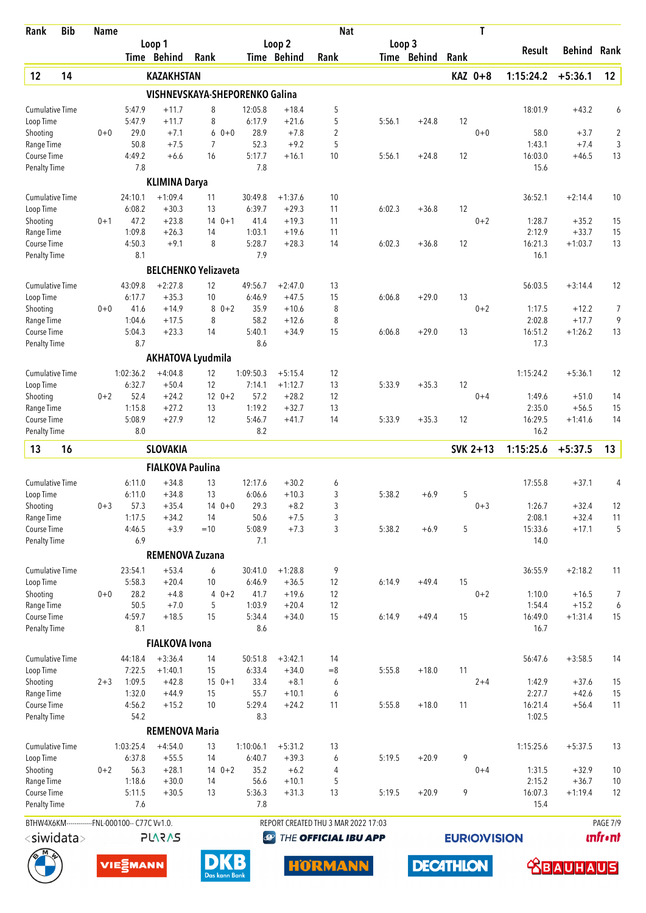| Rank                                | <b>Bib</b>                                     | <b>Name</b> |                   |                         |                                |                   |                      | <b>Nat</b>                          |        |             |      | T                  |                  |                    |                              |
|-------------------------------------|------------------------------------------------|-------------|-------------------|-------------------------|--------------------------------|-------------------|----------------------|-------------------------------------|--------|-------------|------|--------------------|------------------|--------------------|------------------------------|
|                                     |                                                |             |                   | Loop 1                  |                                |                   | Loop 2               |                                     | Loop 3 |             |      |                    | <b>Result</b>    | Behind             | Rank                         |
|                                     |                                                |             |                   | Time Behind             | Rank                           |                   | Time Behind          | Rank                                |        | Time Behind | Rank |                    |                  |                    |                              |
| 12                                  | 14                                             |             |                   | <b>KAZAKHSTAN</b>       |                                |                   |                      |                                     |        |             |      | KAZ 0+8            | 1:15:24.2        | $+5:36.1$          | 12                           |
|                                     |                                                |             |                   |                         | VISHNEVSKAYA-SHEPORENKO Galina |                   |                      |                                     |        |             |      |                    |                  |                    |                              |
| <b>Cumulative Time</b>              |                                                |             | 5:47.9            | $+11.7$                 | 8                              | 12:05.8           | $+18.4$              | 5                                   |        |             |      |                    | 18:01.9          | $+43.2$            | 6                            |
| Loop Time<br>Shooting               |                                                | $0 + 0$     | 5:47.9<br>29.0    | $+11.7$<br>$+7.1$       | 8<br>$0 + 0$<br>6              | 6:17.9<br>28.9    | $+21.6$<br>$+7.8$    | 5<br>$\overline{2}$                 | 5:56.1 | $+24.8$     | 12   | $0 + 0$            | 58.0             | $+3.7$             | 2                            |
| Range Time                          |                                                |             | 50.8              | $+7.5$                  | $\overline{7}$                 | 52.3              | $+9.2$               | 5                                   |        |             |      |                    | 1:43.1           | $+7.4$             | 3                            |
| <b>Course Time</b>                  |                                                |             | 4:49.2            | $+6.6$                  | 16                             | 5:17.7            | $+16.1$              | 10                                  | 5:56.1 | $+24.8$     | 12   |                    | 16:03.0          | $+46.5$            | 13                           |
| Penalty Time                        |                                                |             | 7.8               |                         |                                | 7.8               |                      |                                     |        |             |      |                    | 15.6             |                    |                              |
|                                     |                                                |             |                   | <b>KLIMINA Darya</b>    |                                |                   |                      |                                     |        |             |      |                    |                  |                    |                              |
| <b>Cumulative Time</b>              |                                                |             | 24:10.1           | $+1:09.4$               | 11                             | 30:49.8           | $+1:37.6$            | 10                                  |        |             |      |                    | 36:52.1          | $+2:14.4$          | 10                           |
| Loop Time<br>Shooting               |                                                | $0 + 1$     | 6:08.2<br>47.2    | $+30.3$<br>$+23.8$      | 13<br>14<br>$0 + 1$            | 6:39.7<br>41.4    | $+29.3$<br>$+19.3$   | 11<br>11                            | 6:02.3 | $+36.8$     | 12   | $0 + 2$            | 1:28.7           | $+35.2$            | 15                           |
| Range Time                          |                                                |             | 1:09.8            | $+26.3$                 | 14                             | 1:03.1            | $+19.6$              | 11                                  |        |             |      |                    | 2:12.9           | $+33.7$            | 15                           |
| Course Time                         |                                                |             | 4:50.3            | $+9.1$                  | 8                              | 5:28.7            | $+28.3$              | 14                                  | 6:02.3 | $+36.8$     | 12   |                    | 16:21.3          | $+1:03.7$          | 13                           |
| <b>Penalty Time</b>                 |                                                |             | 8.1               |                         |                                | 7.9               |                      |                                     |        |             |      |                    | 16.1             |                    |                              |
|                                     |                                                |             |                   |                         | <b>BELCHENKO Yelizaveta</b>    |                   |                      |                                     |        |             |      |                    |                  |                    |                              |
| <b>Cumulative Time</b>              |                                                |             | 43:09.8           | $+2:27.8$               | 12                             | 49:56.7           | $+2:47.0$            | 13                                  |        |             |      |                    | 56:03.5          | $+3:14.4$          | 12                           |
| Loop Time                           |                                                |             | 6:17.7            | $+35.3$                 | 10                             | 6:46.9            | $+47.5$              | 15                                  | 6:06.8 | $+29.0$     | 13   |                    |                  |                    |                              |
| Shooting                            |                                                | $0 + 0$     | 41.6<br>1:04.6    | $+14.9$<br>$+17.5$      | $0 + 2$<br>8<br>8              | 35.9<br>58.2      | $+10.6$<br>$+12.6$   | 8<br>8                              |        |             |      | $0 + 2$            | 1:17.5<br>2:02.8 | $+12.2$<br>$+17.7$ | 7<br>9                       |
| Range Time<br>Course Time           |                                                |             | 5:04.3            | $+23.3$                 | 14                             | 5:40.1            | $+34.9$              | 15                                  | 6:06.8 | $+29.0$     | 13   |                    | 16:51.2          | $+1:26.2$          | 13                           |
| <b>Penalty Time</b>                 |                                                |             | 8.7               |                         |                                | 8.6               |                      |                                     |        |             |      |                    | 17.3             |                    |                              |
|                                     |                                                |             |                   |                         | <b>AKHATOVA Lyudmila</b>       |                   |                      |                                     |        |             |      |                    |                  |                    |                              |
| Cumulative Time                     |                                                |             | 1:02:36.2         | $+4:04.8$               | 12                             | 1:09:50.3         | $+5:15.4$            | 12                                  |        |             |      |                    | 1:15:24.2        | $+5:36.1$          | 12                           |
| Loop Time                           |                                                |             | 6:32.7            | $+50.4$                 | 12                             | 7:14.1            | $+1:12.7$            | 13                                  | 5:33.9 | $+35.3$     | 12   |                    |                  |                    |                              |
| Shooting                            |                                                | $0 + 2$     | 52.4              | $+24.2$                 | $12 \t 0+2$                    | 57.2              | $+28.2$              | 12                                  |        |             |      | $0 + 4$            | 1:49.6           | $+51.0$            | 14                           |
| Range Time                          |                                                |             | 1:15.8            | $+27.2$                 | 13                             | 1:19.2            | $+32.7$              | 13                                  |        |             |      |                    | 2:35.0           | $+56.5$            | 15                           |
| Course Time<br>Penalty Time         |                                                |             | 5:08.9<br>8.0     | $+27.9$                 | 12                             | 5:46.7<br>8.2     | $+41.7$              | 14                                  | 5:33.9 | $+35.3$     | 12   |                    | 16:29.5<br>16.2  | $+1:41.6$          | 14                           |
| 13                                  | 16                                             |             |                   | <b>SLOVAKIA</b>         |                                |                   |                      |                                     |        |             |      | SVK 2+13           | 1:15:25.6        | $+5:37.5$          | 13                           |
|                                     |                                                |             |                   | <b>FIALKOVA Paulina</b> |                                |                   |                      |                                     |        |             |      |                    |                  |                    |                              |
| <b>Cumulative Time</b>              |                                                |             | 6:11.0            | $+34.8$                 | 13                             | 12:17.6           | $+30.2$              | 6                                   |        |             |      |                    | 17:55.8          | $+37.1$            | 4                            |
| Loop Time                           |                                                |             | 6:11.0            | $+34.8$                 | 13                             | 6:06.6            | $+10.3$              | 3                                   | 5:38.2 | $+6.9$      | 5    |                    |                  |                    |                              |
| Shooting                            |                                                | $0 + 3$     | 57.3              | $+35.4$                 | $140+0$                        | 29.3              | $+8.2$               | 3                                   |        |             |      | $0 + 3$            | 1:26.7           | $+32.4$            | 12                           |
| Range Time                          |                                                |             | 1:17.5            | $+34.2$                 | 14                             | 50.6              | $+7.5$               | 3                                   |        |             |      |                    | 2:08.1           | $+32.4$            | 11                           |
| Course Time<br><b>Penalty Time</b>  |                                                |             | 4:46.5<br>6.9     | $+3.9$                  | $=10$                          | 5:08.9<br>7.1     | $+7.3$               | 3                                   | 5:38.2 | $+6.9$      | 5    |                    | 15:33.6<br>14.0  | $+17.1$            | 5                            |
|                                     |                                                |             |                   | <b>REMENOVA Zuzana</b>  |                                |                   |                      |                                     |        |             |      |                    |                  |                    |                              |
|                                     |                                                |             |                   | $+53.4$                 |                                |                   |                      | 9                                   |        |             |      |                    |                  |                    |                              |
| <b>Cumulative Time</b><br>Loop Time |                                                |             | 23:54.1<br>5:58.3 | $+20.4$                 | 6<br>10                        | 30:41.0<br>6:46.9 | $+1:28.8$<br>$+36.5$ | 12                                  | 6:14.9 | $+49.4$     | 15   |                    | 36:55.9          | $+2:18.2$          | 11                           |
| Shooting                            |                                                | $0 + 0$     | 28.2              | $+4.8$                  | $40+2$                         | 41.7              | $+19.6$              | 12                                  |        |             |      | $0 + 2$            | 1:10.0           | $+16.5$            | $\overline{7}$               |
| Range Time                          |                                                |             | 50.5              | $+7.0$                  | 5                              | 1:03.9            | $+20.4$              | 12                                  |        |             |      |                    | 1:54.4           | $+15.2$            | 6                            |
| Course Time                         |                                                |             | 4:59.7            | $+18.5$                 | 15                             | 5:34.4            | $+34.0$              | 15                                  | 6:14.9 | $+49.4$     | 15   |                    | 16:49.0          | $+1:31.4$          | 15                           |
| Penalty Time                        |                                                |             | 8.1               |                         |                                | 8.6               |                      |                                     |        |             |      |                    | 16.7             |                    |                              |
|                                     |                                                |             |                   | <b>FIALKOVA Ivona</b>   |                                |                   |                      |                                     |        |             |      |                    |                  |                    |                              |
| <b>Cumulative Time</b>              |                                                |             | 44:18.4<br>7:22.5 | $+3:36.4$<br>$+1:40.1$  | 14<br>15                       | 50:51.8<br>6:33.4 | $+3:42.1$<br>$+34.0$ | 14<br>$= 8$                         | 5:55.8 | $+18.0$     | 11   |                    | 56:47.6          | $+3:58.5$          | 14                           |
| Loop Time<br>Shooting               |                                                | $2 + 3$     | 1:09.5            | $+42.8$                 | $150+1$                        | 33.4              | $+8.1$               | 6                                   |        |             |      | $2 + 4$            | 1:42.9           | $+37.6$            | 15                           |
| Range Time                          |                                                |             | 1:32.0            | $+44.9$                 | 15                             | 55.7              | $+10.1$              | 6                                   |        |             |      |                    | 2:27.7           | $+42.6$            | 15                           |
| Course Time                         |                                                |             | 4:56.2            | $+15.2$                 | 10                             | 5:29.4            | $+24.2$              | 11                                  | 5:55.8 | $+18.0$     | 11   |                    | 16:21.4          | $+56.4$            | 11                           |
| Penalty Time                        |                                                |             | 54.2              |                         |                                | 8.3               |                      |                                     |        |             |      |                    | 1:02.5           |                    |                              |
|                                     |                                                |             |                   | <b>REMENOVA Maria</b>   |                                |                   |                      |                                     |        |             |      |                    |                  |                    |                              |
| <b>Cumulative Time</b>              |                                                |             | 1:03:25.4         | $+4:54.0$               | 13                             | 1:10:06.1         | $+5:31.2$            | 13                                  |        |             |      |                    | 1:15:25.6        | $+5:37.5$          | 13                           |
| Loop Time                           |                                                |             | 6:37.8<br>56.3    | $+55.5$<br>$+28.1$      | 14<br>$140+2$                  | 6:40.7<br>35.2    | $+39.3$<br>$+6.2$    | 6<br>4                              | 5:19.5 | $+20.9$     | 9    |                    |                  |                    |                              |
| Shooting<br>Range Time              |                                                | $0 + 2$     | 1:18.6            | $+30.0$                 | 14                             | 56.6              | $+10.1$              | 5                                   |        |             |      | $0 + 4$            | 1:31.5<br>2:15.2 | $+32.9$<br>$+36.7$ | 10<br>10                     |
| Course Time                         |                                                |             | 5:11.5            | $+30.5$                 | 13                             | 5:36.3            | $+31.3$              | 13                                  | 5:19.5 | $+20.9$     | 9    |                    | 16:07.3          | $+1:19.4$          | 12                           |
| Penalty Time                        |                                                |             | 7.6               |                         |                                | 7.8               |                      |                                     |        |             |      |                    | 15.4             |                    |                              |
|                                     | BTHW4X6KM-------------FNL-000100-- C77C Vv1.0. |             |                   |                         |                                |                   |                      | REPORT CREATED THU 3 MAR 2022 17:03 |        |             |      |                    |                  |                    | PAGE 7/9                     |
|                                     | <siwidata></siwidata>                          |             |                   | <b>SV2V7</b>            |                                | $\bigcirc$        |                      | THE OFFICIAL IBU APP                |        |             |      | <b>EURIOVISION</b> |                  |                    | <b><i><u>Infront</u></i></b> |

**DECATHLON** 





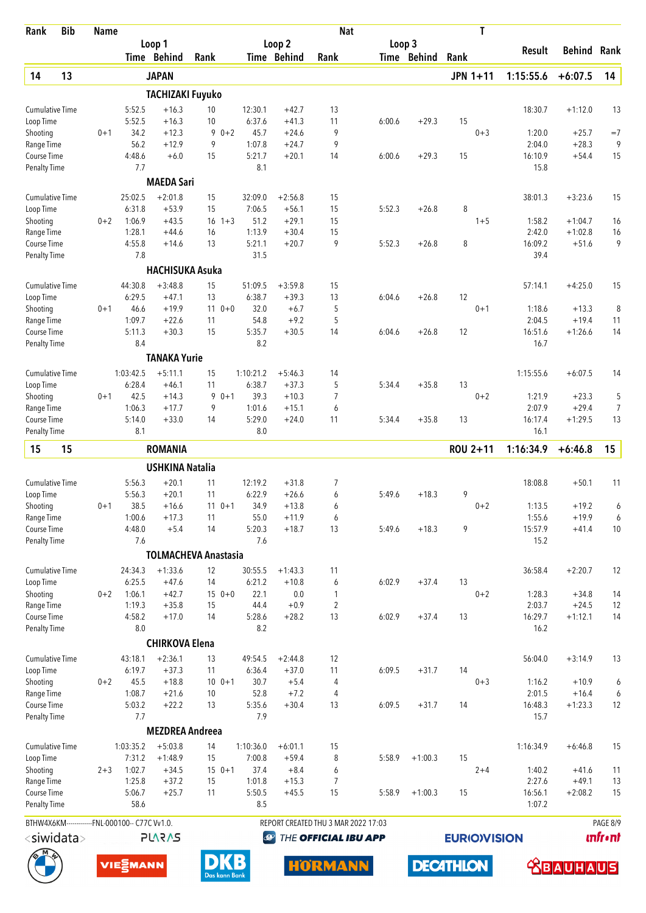| Rank                               | <b>Bib</b>            | <b>Name</b> |                                                |                             |                   |                 |                    | <b>Nat</b>                          |        |             |      | T                   |                   |                    |                 |
|------------------------------------|-----------------------|-------------|------------------------------------------------|-----------------------------|-------------------|-----------------|--------------------|-------------------------------------|--------|-------------|------|---------------------|-------------------|--------------------|-----------------|
|                                    |                       |             |                                                | Loop 1                      |                   |                 | Loop <sub>2</sub>  |                                     | Loop 3 |             |      |                     | Result            | <b>Behind</b>      | Rank            |
|                                    |                       |             |                                                | Time Behind                 | Rank              |                 | Time Behind        | Rank                                |        | Time Behind | Rank |                     |                   |                    |                 |
| 14                                 | 13                    |             |                                                | <b>JAPAN</b>                |                   |                 |                    |                                     |        |             |      | <b>JPN 1+11</b>     | 1:15:55.6         | $+6:07.5$          | 14              |
|                                    |                       |             |                                                | <b>TACHIZAKI Fuyuko</b>     |                   |                 |                    |                                     |        |             |      |                     |                   |                    |                 |
| <b>Cumulative Time</b>             |                       |             | 5:52.5                                         | $+16.3$                     | 10                | 12:30.1         | $+42.7$            | 13                                  |        |             |      |                     | 18:30.7           | $+1:12.0$          | 13              |
| Loop Time                          |                       |             | 5:52.5                                         | $+16.3$                     | 10                | 6:37.6          | $+41.3$            | 11                                  | 6:00.6 | $+29.3$     | 15   |                     |                   |                    |                 |
| Shooting                           |                       | $0 + 1$     | 34.2                                           | $+12.3$                     | 9                 | 45.7<br>$0 + 2$ | $+24.6$            | 9                                   |        |             |      | $0 + 3$             | 1:20.0            | $+25.7$            | $=7$            |
| Range Time                         |                       |             | 56.2                                           | $+12.9$                     | 9                 | 1:07.8          | $+24.7$            | 9                                   |        |             |      |                     | 2:04.0            | $+28.3$            | 9               |
| Course Time                        |                       |             | 4:48.6<br>7.7                                  | $+6.0$                      | 15                | 5:21.7<br>8.1   | $+20.1$            | 14                                  | 6:00.6 | $+29.3$     | 15   |                     | 16:10.9<br>15.8   | $+54.4$            | 15              |
| <b>Penalty Time</b>                |                       |             |                                                |                             |                   |                 |                    |                                     |        |             |      |                     |                   |                    |                 |
|                                    |                       |             |                                                | <b>MAEDA Sari</b>           |                   |                 |                    |                                     |        |             |      |                     |                   |                    |                 |
| <b>Cumulative Time</b>             |                       |             | 25:02.5                                        | $+2:01.8$                   | 15                | 32:09.0         | $+2:56.8$          | 15                                  |        |             |      |                     | 38:01.3           | $+3:23.6$          | 15              |
| Loop Time<br>Shooting              |                       | $0 + 2$     | 6:31.8<br>1:06.9                               | $+53.9$<br>$+43.5$          | 15<br>$16 \t1+3$  | 7:06.5<br>51.2  | $+56.1$<br>$+29.1$ | 15<br>15                            | 5:52.3 | $+26.8$     | 8    | $1 + 5$             | 1:58.2            | $+1:04.7$          | 16              |
| Range Time                         |                       |             | 1:28.1                                         | $+44.6$                     | 16                | 1:13.9          | $+30.4$            | 15                                  |        |             |      |                     | 2:42.0            | $+1:02.8$          | 16              |
| Course Time                        |                       |             | 4:55.8                                         | $+14.6$                     | 13                | 5:21.1          | $+20.7$            | 9                                   | 5:52.3 | $+26.8$     | 8    |                     | 16:09.2           | $+51.6$            | 9               |
| <b>Penalty Time</b>                |                       |             | 7.8                                            |                             |                   | 31.5            |                    |                                     |        |             |      |                     | 39.4              |                    |                 |
|                                    |                       |             |                                                | <b>HACHISUKA Asuka</b>      |                   |                 |                    |                                     |        |             |      |                     |                   |                    |                 |
| <b>Cumulative Time</b>             |                       |             | 44:30.8                                        | $+3:48.8$                   | 15                | 51:09.5         | $+3:59.8$          | 15                                  |        |             |      |                     | 57:14.1           | $+4:25.0$          | 15              |
| Loop Time                          |                       |             | 6:29.5                                         | $+47.1$                     | 13                | 6:38.7          | $+39.3$            | 13                                  | 6:04.6 | $+26.8$     | 12   |                     |                   |                    |                 |
| Shooting                           |                       | $0 + 1$     | 46.6                                           | $+19.9$                     | $110+0$           | 32.0            | $+6.7$             | 5                                   |        |             |      | $0 + 1$             | 1:18.6            | $+13.3$            | 8               |
| Range Time                         |                       |             | 1:09.7                                         | $+22.6$                     | 11                | 54.8            | $+9.2$             | 5                                   |        |             |      |                     | 2:04.5            | $+19.4$            | 11              |
| Course Time                        |                       |             | 5:11.3                                         | $+30.3$                     | 15                | 5:35.7          | $+30.5$            | 14                                  | 6:04.6 | $+26.8$     | 12   |                     | 16:51.6           | $+1:26.6$          | 14              |
| <b>Penalty Time</b>                |                       |             | 8.4                                            |                             |                   | 8.2             |                    |                                     |        |             |      |                     | 16.7              |                    |                 |
|                                    |                       |             |                                                | <b>TANAKA Yurie</b>         |                   |                 |                    |                                     |        |             |      |                     |                   |                    |                 |
| <b>Cumulative Time</b>             |                       |             | 1:03:42.5                                      | $+5:11.1$                   | 15                | 1:10:21.2       | $+5:46.3$          | 14                                  |        |             |      |                     | 1:15:55.6         | $+6:07.5$          | 14              |
| Loop Time                          |                       |             | 6:28.4                                         | $+46.1$                     | 11                | 6:38.7          | $+37.3$            | 5                                   | 5:34.4 | $+35.8$     | 13   |                     |                   |                    |                 |
| Shooting                           |                       | $0 + 1$     | 42.5                                           | $+14.3$                     | 9                 | 39.3<br>$0 + 1$ | $+10.3$            | 7                                   |        |             |      | $0 + 2$             | 1:21.9            | $+23.3$            | 5               |
| Range Time                         |                       |             | 1:06.3<br>5:14.0                               | $+17.7$                     | 9                 | 1:01.6          | $+15.1$            | 6                                   |        |             |      |                     | 2:07.9<br>16:17.4 | $+29.4$            | 7<br>13         |
| Course Time<br><b>Penalty Time</b> |                       |             | 8.1                                            | $+33.0$                     | 14                | 5:29.0<br>8.0   | $+24.0$            | 11                                  | 5:34.4 | $+35.8$     | 13   |                     | 16.1              | $+1:29.5$          |                 |
| 15                                 | 15                    |             |                                                | <b>ROMANIA</b>              |                   |                 |                    |                                     |        |             |      | ROU 2+11            | 1:16:34.9         | $+6:46.8$          | 15              |
|                                    |                       |             |                                                |                             |                   |                 |                    |                                     |        |             |      |                     |                   |                    |                 |
|                                    |                       |             |                                                | <b>USHKINA Natalia</b>      |                   |                 |                    |                                     |        |             |      |                     |                   |                    |                 |
| <b>Cumulative Time</b>             |                       |             | 5:56.3                                         | $+20.1$                     | 11                | 12:19.2         | $+31.8$            | 7                                   |        |             |      |                     | 18:08.8           | $+50.1$            | 11              |
| Loop Time                          |                       |             | 5:56.3                                         | $+20.1$                     | 11                | 6:22.9          | $+26.6$            | 6                                   | 5:49.6 | $+18.3$     | 9    |                     |                   |                    |                 |
| Shooting<br>Range Time             |                       | 0+1         | 38.5<br>1:00.6                                 | $+16.6$<br>$+17.3$          | $11 \t 0+1$<br>11 | 34.9<br>55.0    | $+13.8$<br>$+11.9$ | 6<br>6                              |        |             |      | $0 + 2$             | 1:13.5<br>1:55.6  | $+19.2$<br>$+19.9$ | 6<br>6          |
| Course Time                        |                       |             | 4:48.0                                         | $+5.4$                      | 14                | 5:20.3          | $+18.7$            | 13                                  | 5:49.6 | $+18.3$     | 9    |                     | 15:57.9           | $+41.4$            | 10              |
| <b>Penalty Time</b>                |                       |             | 7.6                                            |                             |                   | 7.6             |                    |                                     |        |             |      |                     | 15.2              |                    |                 |
|                                    |                       |             |                                                | <b>TOLMACHEVA Anastasia</b> |                   |                 |                    |                                     |        |             |      |                     |                   |                    |                 |
| <b>Cumulative Time</b>             |                       |             | 24:34.3                                        | $+1:33.6$                   | 12                | 30:55.5         | $+1:43.3$          | 11                                  |        |             |      |                     | 36:58.4           | $+2:20.7$          | 12              |
| Loop Time                          |                       |             | 6:25.5                                         | $+47.6$                     | 14                | 6:21.2          | $+10.8$            | 6                                   | 6:02.9 | $+37.4$     | 13   |                     |                   |                    |                 |
| Shooting                           |                       | $0 + 2$     | 1:06.1                                         | $+42.7$                     | $150+0$           | 22.1            | 0.0                | 1                                   |        |             |      | $0 + 2$             | 1:28.3            | $+34.8$            | 14              |
| Range Time                         |                       |             | 1:19.3                                         | $+35.8$                     | 15                | 44.4            | $+0.9$             | $\overline{2}$                      |        |             |      |                     | 2:03.7            | $+24.5$            | 12              |
| Course Time                        |                       |             | 4:58.2                                         | $+17.0$                     | 14                | 5:28.6          | $+28.2$            | 13                                  | 6:02.9 | $+37.4$     | 13   |                     | 16:29.7           | $+1:12.1$          | 14              |
| <b>Penalty Time</b>                |                       |             | 8.0                                            |                             |                   | 8.2             |                    |                                     |        |             |      |                     | 16.2              |                    |                 |
|                                    |                       |             |                                                | <b>CHIRKOVA Elena</b>       |                   |                 |                    |                                     |        |             |      |                     |                   |                    |                 |
| <b>Cumulative Time</b>             |                       |             | 43:18.1                                        | $+2:36.1$                   | 13                | 49:54.5         | $+2:44.8$          | 12                                  |        |             |      |                     | 56:04.0           | $+3:14.9$          | 13              |
| Loop Time                          |                       |             | 6:19.7                                         | $+37.3$                     | 11                | 6:36.4          | $+37.0$            | 11                                  | 6:09.5 | $+31.7$     | 14   |                     |                   |                    |                 |
| Shooting                           |                       | $0 + 2$     | 45.5                                           | $+18.8$                     | $10 \t 0+1$       | 30.7            | $+5.4$             | 4                                   |        |             |      | $0 + 3$             | 1:16.2            | $+10.9$            | 6               |
| Range Time                         |                       |             | 1:08.7                                         | $+21.6$                     | 10                | 52.8            | $+7.2$             | 4                                   |        | $+31.7$     |      |                     | 2:01.5            | $+16.4$            | 6               |
| Course Time<br><b>Penalty Time</b> |                       |             | 5:03.2<br>$7.7\,$                              | $+22.2$                     | 13                | 5:35.6<br>7.9   | $+30.4$            | 13                                  | 6:09.5 |             | 14   |                     | 16:48.3<br>15.7   | $+1:23.3$          | 12              |
|                                    |                       |             |                                                | <b>MEZDREA Andreea</b>      |                   |                 |                    |                                     |        |             |      |                     |                   |                    |                 |
|                                    |                       |             |                                                |                             |                   |                 |                    |                                     |        |             |      |                     |                   |                    |                 |
| <b>Cumulative Time</b>             |                       |             | 1:03:35.2                                      | $+5:03.8$                   | 14                | 1:10:36.0       | $+6:01.1$          | 15                                  |        | $+1:00.3$   | 15   |                     | 1:16:34.9         | $+6:46.8$          | 15              |
| Loop Time<br>Shooting              |                       | $2 + 3$     | 7:31.2<br>1:02.7                               | $+1:48.9$<br>$+34.5$        | 15<br>$150+1$     | 7:00.8<br>37.4  | $+59.4$<br>$+8.4$  | 8<br>6                              | 5:58.9 |             |      | $2 + 4$             | 1:40.2            | $+41.6$            | 11              |
| Range Time                         |                       |             | 1:25.8                                         | $+37.2$                     | 15                | 1:01.8          | $+15.3$            | 7                                   |        |             |      |                     | 2:27.6            | $+49.1$            | 13              |
| Course Time                        |                       |             | 5:06.7                                         | $+25.7$                     | 11                | 5:50.5          | $+45.5$            | 15                                  | 5:58.9 | $+1:00.3$   | 15   |                     | 16:56.1           | $+2:08.2$          | 15              |
| <b>Penalty Time</b>                |                       |             | 58.6                                           |                             |                   | 8.5             |                    |                                     |        |             |      |                     | 1:07.2            |                    |                 |
|                                    |                       |             | BTHW4X6KM-------------FNL-000100-- C77C Vv1.0. |                             |                   |                 |                    | REPORT CREATED THU 3 MAR 2022 17:03 |        |             |      |                     |                   |                    | PAGE 8/9        |
|                                    |                       |             |                                                | <b>PLARAS</b>               |                   |                 | $\bigcirc$         |                                     |        |             |      |                     |                   |                    | <b>unfr</b> •nt |
|                                    | <siwidata></siwidata> |             |                                                |                             |                   |                 |                    | THE OFFICIAL IBU APP                |        |             |      | <b>EURIO)VISION</b> |                   |                    |                 |

**DECATHLON**